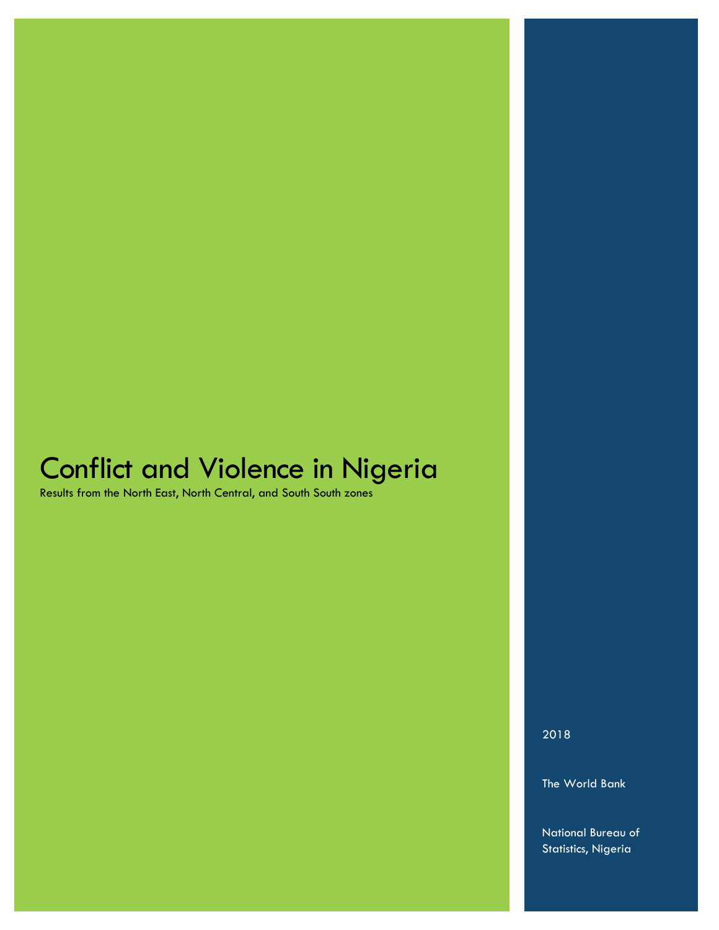# Conflict and Violence in Nigeria

Results from the North East, North Central, and South South zones

2018

The World Bank

National Bureau of Statistics, Nigeria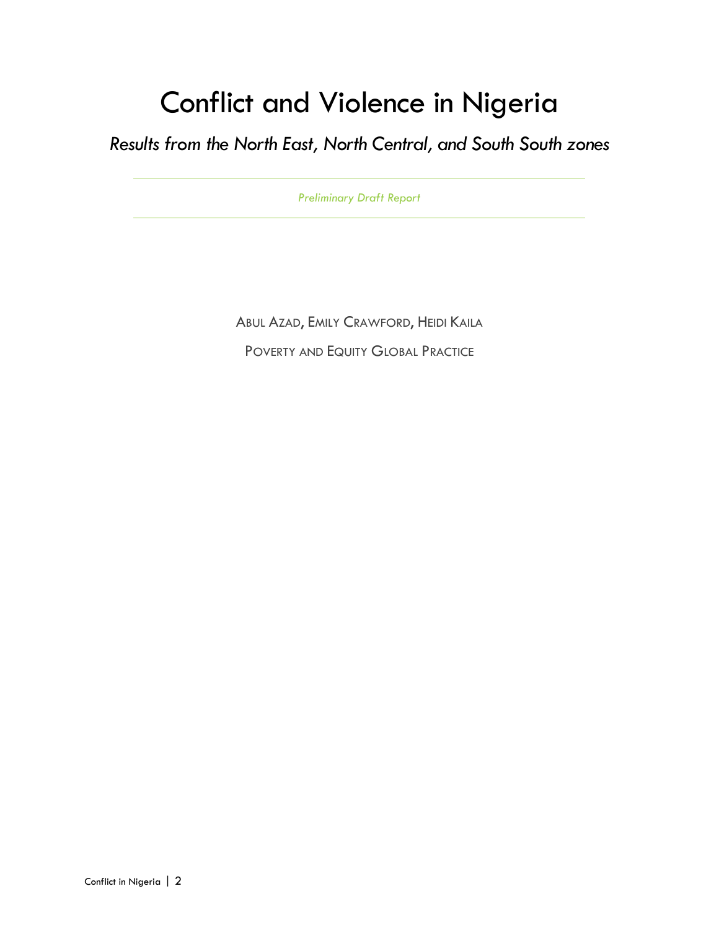# Conflict and Violence in Nigeria

*Results from the North East, North Central, and South South zones*

*Preliminary Draft Report*

ABUL AZAD, EMILY CRAWFORD, HEIDI KAILA POVERTY AND EQUITY GLOBAL PRACTICE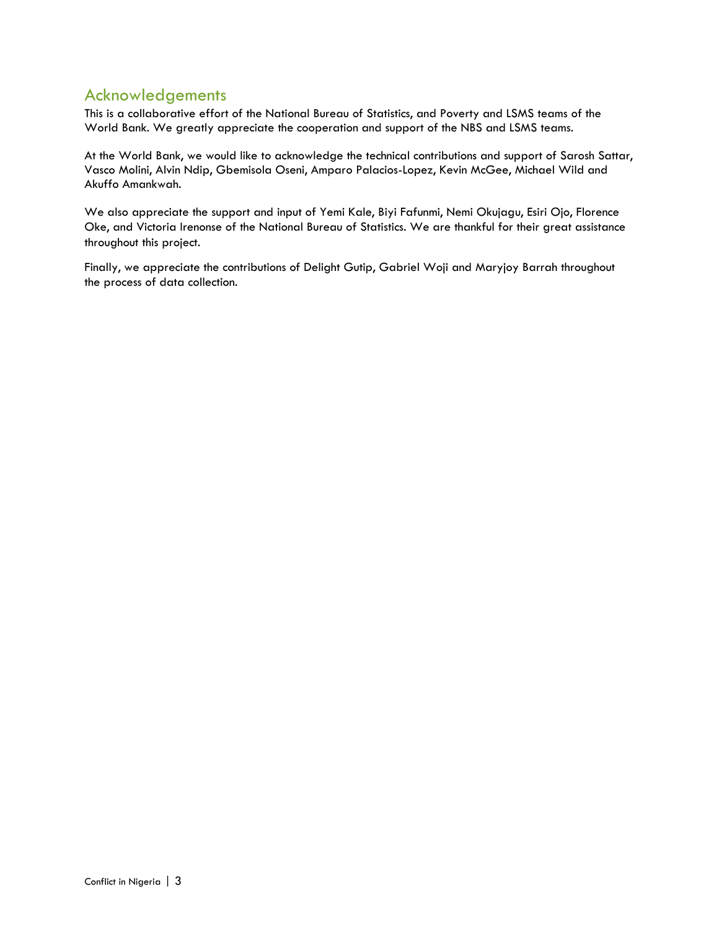# <span id="page-2-0"></span>Acknowledgements

This is a collaborative effort of the National Bureau of Statistics, and Poverty and LSMS teams of the World Bank. We greatly appreciate the cooperation and support of the NBS and LSMS teams.

At the World Bank, we would like to acknowledge the technical contributions and support of Sarosh Sattar, Vasco Molini, Alvin Ndip, Gbemisola Oseni, Amparo Palacios-Lopez, Kevin McGee, Michael Wild and Akuffo Amankwah.

We also appreciate the support and input of Yemi Kale, Biyi Fafunmi, Nemi Okujagu, Esiri Ojo, Florence Oke, and Victoria Irenonse of the National Bureau of Statistics. We are thankful for their great assistance throughout this project.

Finally, we appreciate the contributions of Delight Gutip, Gabriel Woji and Maryjoy Barrah throughout the process of data collection.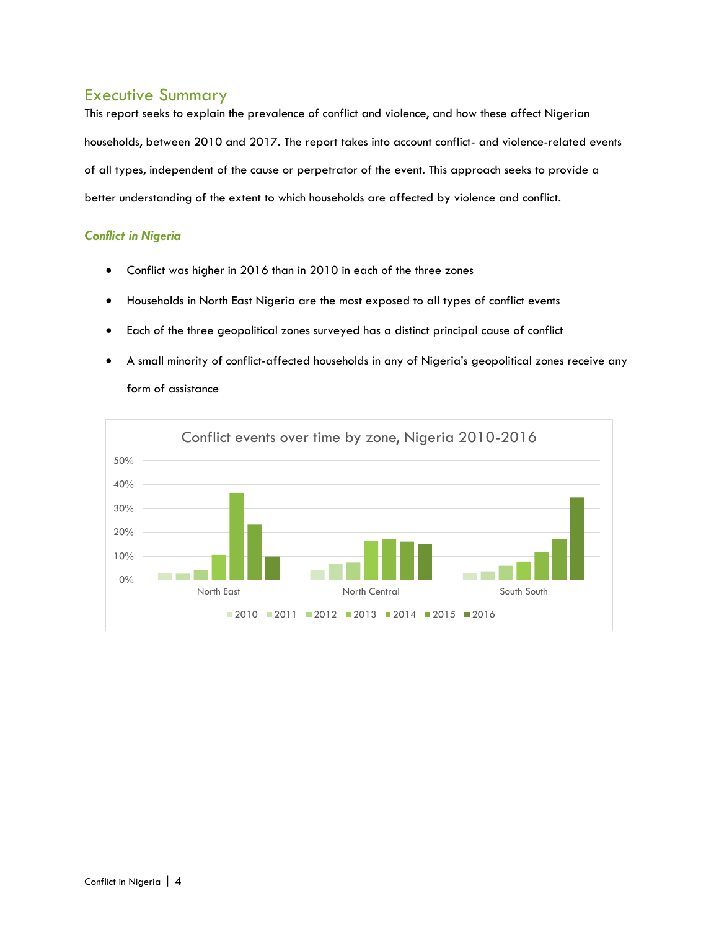# <span id="page-3-0"></span>Executive Summary

This report seeks to explain the prevalence of conflict and violence, and how these affect Nigerian households, between 2010 and 2017. The report takes into account conflict- and violence-related events of all types, independent of the cause or perpetrator of the event. This approach seeks to provide a better understanding of the extent to which households are affected by violence and conflict.

#### *Conflict in Nigeria*

- Conflict was higher in 2016 than in 2010 in each of the three zones
- Households in North East Nigeria are the most exposed to all types of conflict events
- Each of the three geopolitical zones surveyed has a distinct principal cause of conflict
- A small minority of conflict-affected households in any of Nigeria's geopolitical zones receive any



#### form of assistance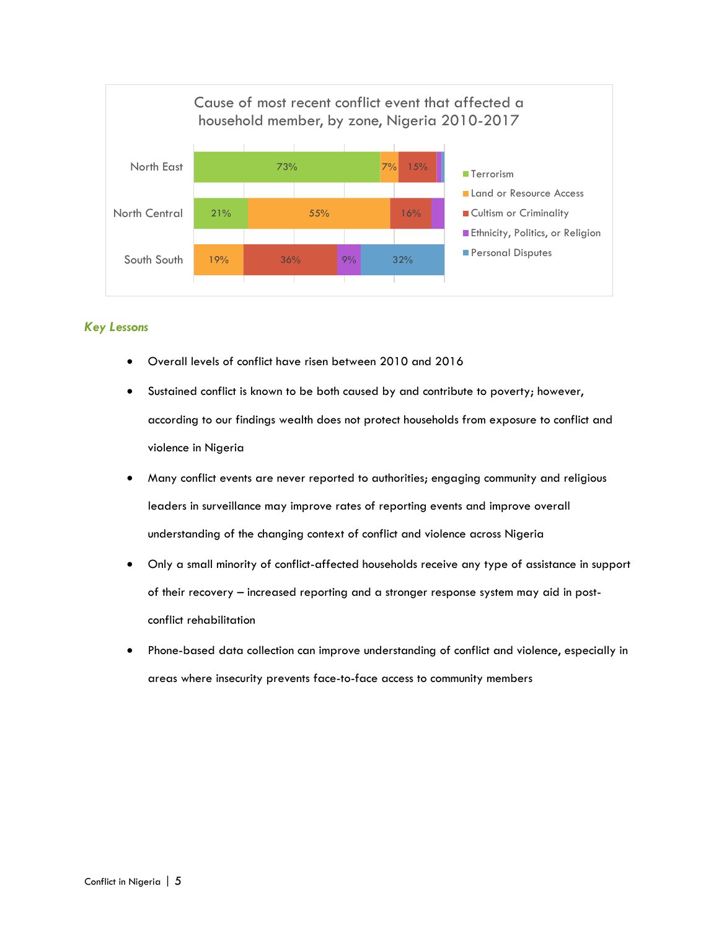

#### *Key Lessons*

- Overall levels of conflict have risen between 2010 and 2016
- Sustained conflict is known to be both caused by and contribute to poverty; however, according to our findings wealth does not protect households from exposure to conflict and violence in Nigeria
- Many conflict events are never reported to authorities; engaging community and religious leaders in surveillance may improve rates of reporting events and improve overall understanding of the changing context of conflict and violence across Nigeria
- Only a small minority of conflict-affected households receive any type of assistance in support of their recovery – increased reporting and a stronger response system may aid in postconflict rehabilitation
- Phone-based data collection can improve understanding of conflict and violence, especially in areas where insecurity prevents face-to-face access to community members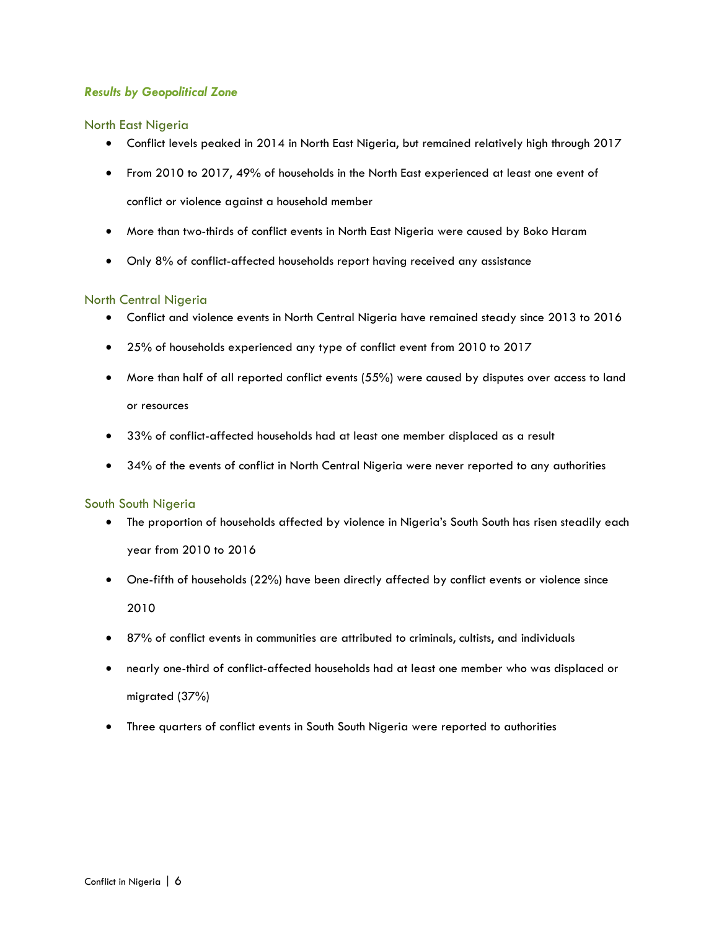#### *Results by Geopolitical Zone*

#### North East Nigeria

- Conflict levels peaked in 2014 in North East Nigeria, but remained relatively high through 2017
- From 2010 to 2017, 49% of households in the North East experienced at least one event of conflict or violence against a household member
- More than two-thirds of conflict events in North East Nigeria were caused by Boko Haram
- Only 8% of conflict-affected households report having received any assistance

#### North Central Nigeria

- Conflict and violence events in North Central Nigeria have remained steady since 2013 to 2016
- 25% of households experienced any type of conflict event from 2010 to 2017
- More than half of all reported conflict events (55%) were caused by disputes over access to land or resources
- 33% of conflict-affected households had at least one member displaced as a result
- 34% of the events of conflict in North Central Nigeria were never reported to any authorities

#### South South Nigeria

- The proportion of households affected by violence in Nigeria's South South has risen steadily each year from 2010 to 2016
- One-fifth of households (22%) have been directly affected by conflict events or violence since 2010
- 87% of conflict events in communities are attributed to criminals, cultists, and individuals
- nearly one-third of conflict-affected households had at least one member who was displaced or migrated (37%)
- Three quarters of conflict events in South South Nigeria were reported to authorities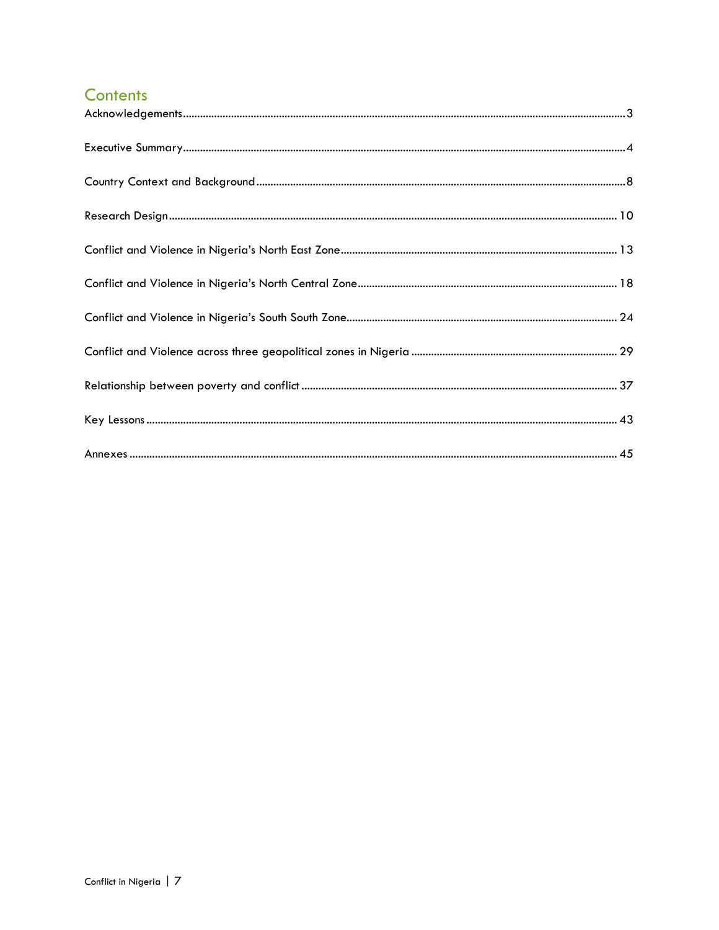# Contents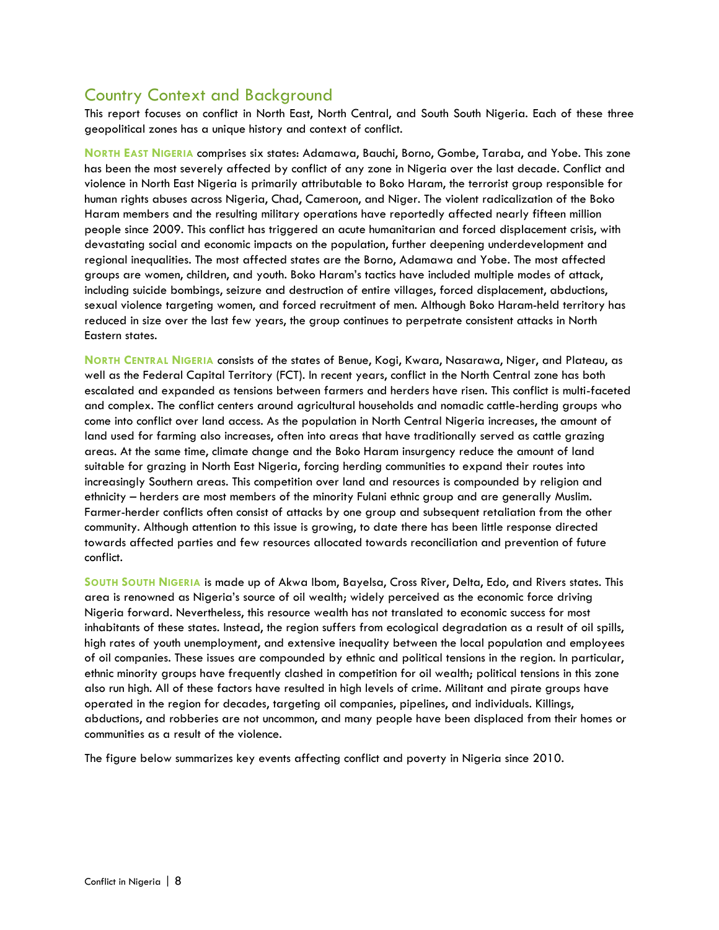# <span id="page-7-0"></span>Country Context and Background

This report focuses on conflict in North East, North Central, and South South Nigeria. Each of these three geopolitical zones has a unique history and context of conflict.

**NORTH EAST NIGERIA** comprises six states: Adamawa, Bauchi, Borno, Gombe, Taraba, and Yobe. This zone has been the most severely affected by conflict of any zone in Nigeria over the last decade. Conflict and violence in North East Nigeria is primarily attributable to Boko Haram, the terrorist group responsible for human rights abuses across Nigeria, Chad, Cameroon, and Niger. The violent radicalization of the Boko Haram members and the resulting military operations have reportedly affected nearly fifteen million people since 2009. This conflict has triggered an acute humanitarian and forced displacement crisis, with devastating social and economic impacts on the population, further deepening underdevelopment and regional inequalities. The most affected states are the Borno, Adamawa and Yobe. The most affected groups are women, children, and youth. Boko Haram's tactics have included multiple modes of attack, including suicide bombings, seizure and destruction of entire villages, forced displacement, abductions, sexual violence targeting women, and forced recruitment of men. Although Boko Haram-held territory has reduced in size over the last few years, the group continues to perpetrate consistent attacks in North Eastern states.

**NORTH CENTRAL NIGERIA** consists of the states of Benue, Kogi, Kwara, Nasarawa, Niger, and Plateau, as well as the Federal Capital Territory (FCT). In recent years, conflict in the North Central zone has both escalated and expanded as tensions between farmers and herders have risen. This conflict is multi-faceted and complex. The conflict centers around agricultural households and nomadic cattle-herding groups who come into conflict over land access. As the population in North Central Nigeria increases, the amount of land used for farming also increases, often into areas that have traditionally served as cattle grazing areas. At the same time, climate change and the Boko Haram insurgency reduce the amount of land suitable for grazing in North East Nigeria, forcing herding communities to expand their routes into increasingly Southern areas. This competition over land and resources is compounded by religion and ethnicity – herders are most members of the minority Fulani ethnic group and are generally Muslim. Farmer-herder conflicts often consist of attacks by one group and subsequent retaliation from the other community. Although attention to this issue is growing, to date there has been little response directed towards affected parties and few resources allocated towards reconciliation and prevention of future conflict.

**SOUTH SOUTH NIGERIA** is made up of Akwa Ibom, Bayelsa, Cross River, Delta, Edo, and Rivers states. This area is renowned as Nigeria's source of oil wealth; widely perceived as the economic force driving Nigeria forward. Nevertheless, this resource wealth has not translated to economic success for most inhabitants of these states. Instead, the region suffers from ecological degradation as a result of oil spills, high rates of youth unemployment, and extensive inequality between the local population and employees of oil companies. These issues are compounded by ethnic and political tensions in the region. In particular, ethnic minority groups have frequently clashed in competition for oil wealth; political tensions in this zone also run high. All of these factors have resulted in high levels of crime. Militant and pirate groups have operated in the region for decades, targeting oil companies, pipelines, and individuals. Killings, abductions, and robberies are not uncommon, and many people have been displaced from their homes or communities as a result of the violence.

The figure below summarizes key events affecting conflict and poverty in Nigeria since 2010.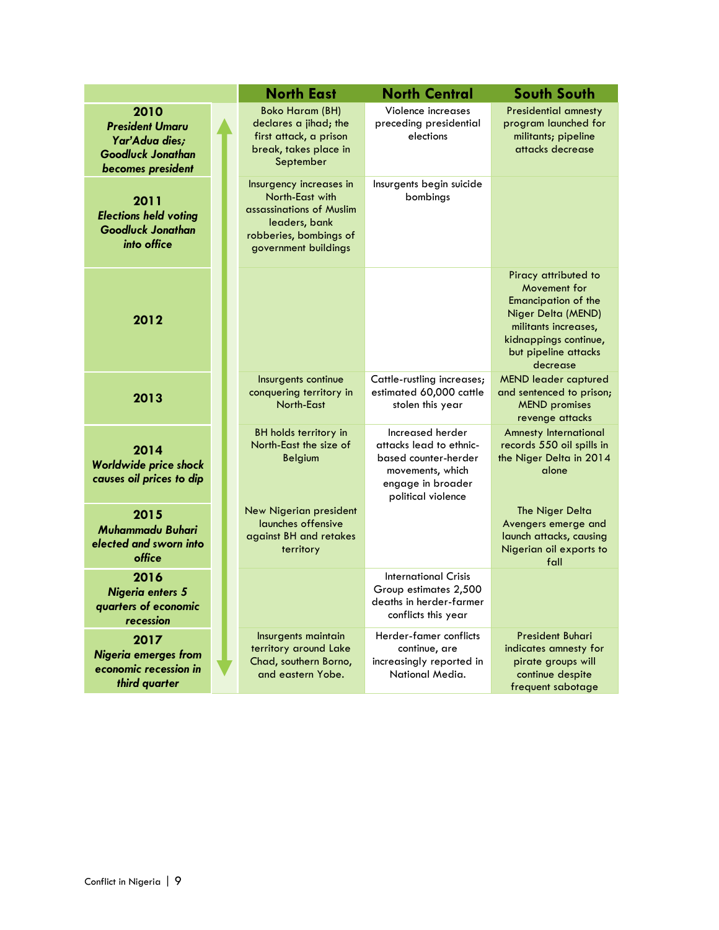|                                                                                                   |  | <b>North East</b>                                                                                                                         | <b>North Central</b>                                                                                                               | <b>South South</b>                                                                                                                                                            |
|---------------------------------------------------------------------------------------------------|--|-------------------------------------------------------------------------------------------------------------------------------------------|------------------------------------------------------------------------------------------------------------------------------------|-------------------------------------------------------------------------------------------------------------------------------------------------------------------------------|
| 2010<br><b>President Umaru</b><br>Yar'Adua dies;<br><b>Goodluck Jonathan</b><br>becomes president |  | <b>Boko Haram (BH)</b><br>declares a jihad; the<br>first attack, a prison<br>break, takes place in<br>September                           | Violence increases<br>preceding presidential<br>elections                                                                          | <b>Presidential amnesty</b><br>program launched for<br>militants; pipeline<br>attacks decrease                                                                                |
| 2011<br><b>Elections held voting</b><br><b>Goodluck Jonathan</b><br>into office                   |  | Insurgency increases in<br>North-East with<br>assassinations of Muslim<br>leaders, bank<br>robberies, bombings of<br>government buildings | Insurgents begin suicide<br>bombings                                                                                               |                                                                                                                                                                               |
| 2012                                                                                              |  |                                                                                                                                           |                                                                                                                                    | Piracy attributed to<br>Movement for<br><b>Emancipation of the</b><br>Niger Delta (MEND)<br>militants increases,<br>kidnappings continue,<br>but pipeline attacks<br>decrease |
| 2013                                                                                              |  | Insurgents continue<br>conquering territory in<br>North-East                                                                              | Cattle-rustling increases;<br>estimated 60,000 cattle<br>stolen this year                                                          | <b>MEND leader captured</b><br>and sentenced to prison;<br><b>MEND</b> promises<br>revenge attacks                                                                            |
| 2014<br>Worldwide price shock<br>causes oil prices to dip                                         |  | BH holds territory in<br>North-East the size of<br>Belgium                                                                                | Increased herder<br>attacks lead to ethnic-<br>based counter-herder<br>movements, which<br>engage in broader<br>political violence | <b>Amnesty International</b><br>records 550 oil spills in<br>the Niger Delta in 2014<br>alone                                                                                 |
| 2015<br>Muhammadu Buhari<br>elected and sworn into<br>office                                      |  | New Nigerian president<br>launches offensive<br>against BH and retakes<br>territory                                                       |                                                                                                                                    | The Niger Delta<br>Avengers emerge and<br>launch attacks, causing<br>Nigerian oil exports to<br>fall                                                                          |
| 2016<br><b>Nigeria enters 5</b><br>quarters of economic<br>recession                              |  |                                                                                                                                           | <b>International Crisis</b><br>Group estimates 2,500<br>deaths in herder-farmer<br>conflicts this year                             |                                                                                                                                                                               |
| 2017<br><b>Nigeria emerges from</b><br>economic recession in<br>third quarter                     |  | Insurgents maintain<br>territory around Lake<br>Chad, southern Borno,<br>and eastern Yobe.                                                | Herder-famer conflicts<br>continue, are<br>increasingly reported in<br>National Media.                                             | <b>President Buhari</b><br>indicates amnesty for<br>pirate groups will<br>continue despite<br>frequent sabotage                                                               |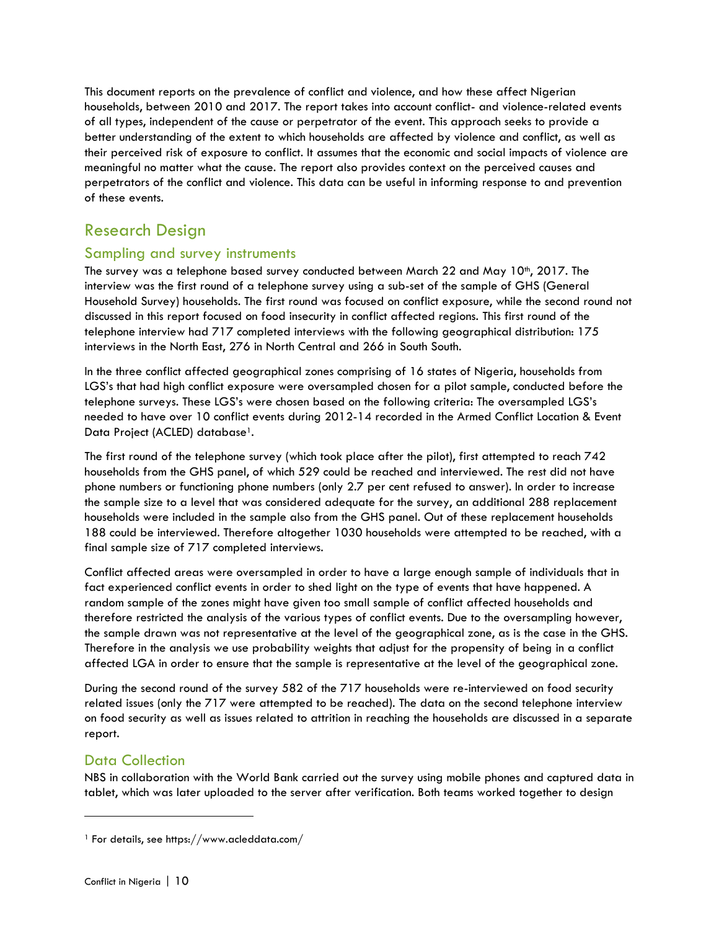This document reports on the prevalence of conflict and violence, and how these affect Nigerian households, between 2010 and 2017. The report takes into account conflict- and violence-related events of all types, independent of the cause or perpetrator of the event. This approach seeks to provide a better understanding of the extent to which households are affected by violence and conflict, as well as their perceived risk of exposure to conflict. It assumes that the economic and social impacts of violence are meaningful no matter what the cause. The report also provides context on the perceived causes and perpetrators of the conflict and violence. This data can be useful in informing response to and prevention of these events.

# <span id="page-9-0"></span>Research Design

#### Sampling and survey instruments

The survey was a telephone based survey conducted between March 22 and May 10<sup>th</sup>, 2017. The interview was the first round of a telephone survey using a sub-set of the sample of GHS (General Household Survey) households. The first round was focused on conflict exposure, while the second round not discussed in this report focused on food insecurity in conflict affected regions. This first round of the telephone interview had 717 completed interviews with the following geographical distribution: 175 interviews in the North East, 276 in North Central and 266 in South South.

In the three conflict affected geographical zones comprising of 16 states of Nigeria, households from LGS's that had high conflict exposure were oversampled chosen for a pilot sample, conducted before the telephone surveys. These LGS's were chosen based on the following criteria: The oversampled LGS's needed to have over 10 conflict events during 2012-14 recorded in the Armed Conflict Location & Event Data Project (ACLED) database<sup>1</sup>.

The first round of the telephone survey (which took place after the pilot), first attempted to reach 742 households from the GHS panel, of which 529 could be reached and interviewed. The rest did not have phone numbers or functioning phone numbers (only 2.7 per cent refused to answer). In order to increase the sample size to a level that was considered adequate for the survey, an additional 288 replacement households were included in the sample also from the GHS panel. Out of these replacement households 188 could be interviewed. Therefore altogether 1030 households were attempted to be reached, with a final sample size of 717 completed interviews.

Conflict affected areas were oversampled in order to have a large enough sample of individuals that in fact experienced conflict events in order to shed light on the type of events that have happened. A random sample of the zones might have given too small sample of conflict affected households and therefore restricted the analysis of the various types of conflict events. Due to the oversampling however, the sample drawn was not representative at the level of the geographical zone, as is the case in the GHS. Therefore in the analysis we use probability weights that adjust for the propensity of being in a conflict affected LGA in order to ensure that the sample is representative at the level of the geographical zone.

During the second round of the survey 582 of the 717 households were re-interviewed on food security related issues (only the 717 were attempted to be reached). The data on the second telephone interview on food security as well as issues related to attrition in reaching the households are discussed in a separate report.

#### Data Collection

NBS in collaboration with the World Bank carried out the survey using mobile phones and captured data in tablet, which was later uploaded to the server after verification. Both teams worked together to design

<sup>1</sup> For details, see https://www.acleddata.com/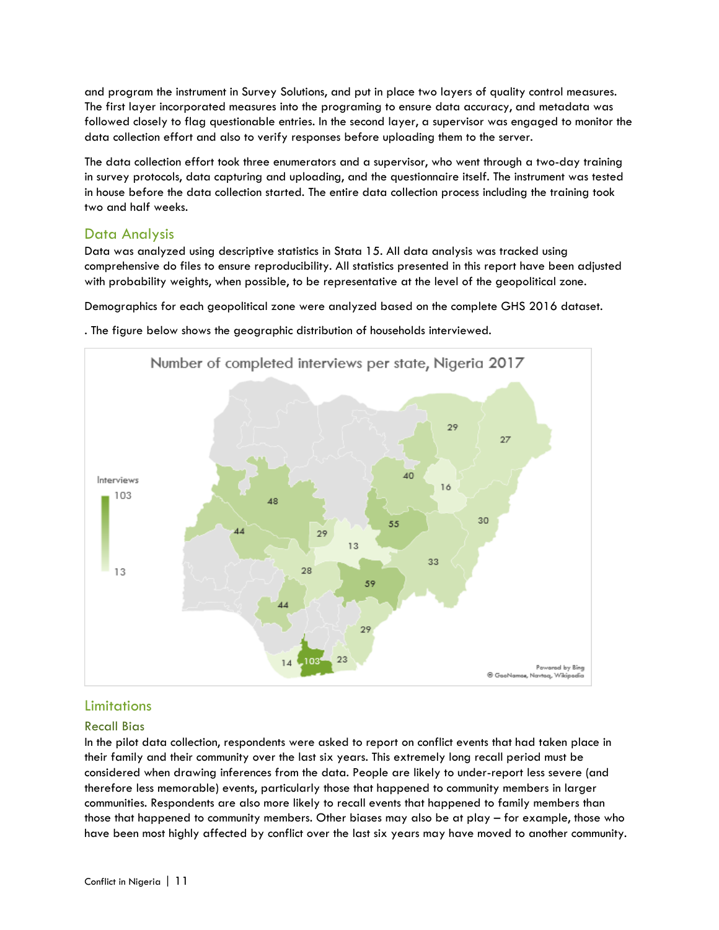and program the instrument in Survey Solutions, and put in place two layers of quality control measures. The first layer incorporated measures into the programing to ensure data accuracy, and metadata was followed closely to flag questionable entries. In the second layer, a supervisor was engaged to monitor the data collection effort and also to verify responses before uploading them to the server.

The data collection effort took three enumerators and a supervisor, who went through a two-day training in survey protocols, data capturing and uploading, and the questionnaire itself. The instrument was tested in house before the data collection started. The entire data collection process including the training took two and half weeks.

#### Data Analysis

Data was analyzed using descriptive statistics in Stata 15. All data analysis was tracked using comprehensive do files to ensure reproducibility. All statistics presented in this report have been adjusted with probability weights, when possible, to be representative at the level of the geopolitical zone.

Demographics for each geopolitical zone were analyzed based on the complete GHS 2016 dataset.

. The figure below shows the geographic distribution of households interviewed.



## **Limitations**

#### Recall Bias

In the pilot data collection, respondents were asked to report on conflict events that had taken place in their family and their community over the last six years. This extremely long recall period must be considered when drawing inferences from the data. People are likely to under-report less severe (and therefore less memorable) events, particularly those that happened to community members in larger communities. Respondents are also more likely to recall events that happened to family members than those that happened to community members. Other biases may also be at play – for example, those who have been most highly affected by conflict over the last six years may have moved to another community.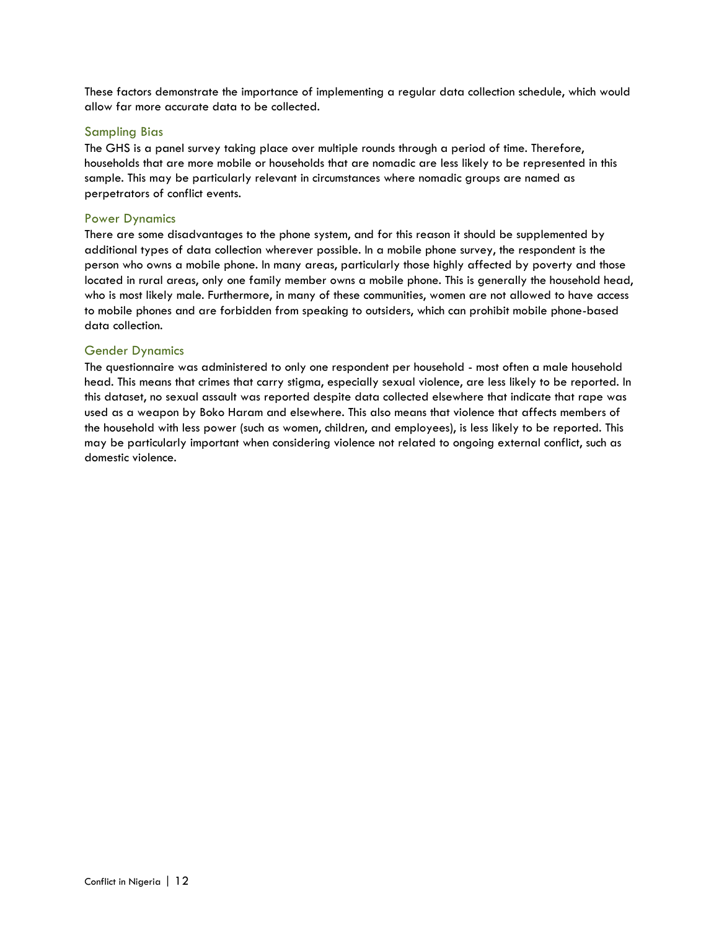These factors demonstrate the importance of implementing a regular data collection schedule, which would allow far more accurate data to be collected.

#### Sampling Bias

The GHS is a panel survey taking place over multiple rounds through a period of time. Therefore, households that are more mobile or households that are nomadic are less likely to be represented in this sample. This may be particularly relevant in circumstances where nomadic groups are named as perpetrators of conflict events.

#### Power Dynamics

There are some disadvantages to the phone system, and for this reason it should be supplemented by additional types of data collection wherever possible. In a mobile phone survey, the respondent is the person who owns a mobile phone. In many areas, particularly those highly affected by poverty and those located in rural areas, only one family member owns a mobile phone. This is generally the household head, who is most likely male. Furthermore, in many of these communities, women are not allowed to have access to mobile phones and are forbidden from speaking to outsiders, which can prohibit mobile phone-based data collection.

#### Gender Dynamics

The questionnaire was administered to only one respondent per household - most often a male household head. This means that crimes that carry stigma, especially sexual violence, are less likely to be reported. In this dataset, no sexual assault was reported despite data collected elsewhere that indicate that rape was used as a weapon by Boko Haram and elsewhere. This also means that violence that affects members of the household with less power (such as women, children, and employees), is less likely to be reported. This may be particularly important when considering violence not related to ongoing external conflict, such as domestic violence.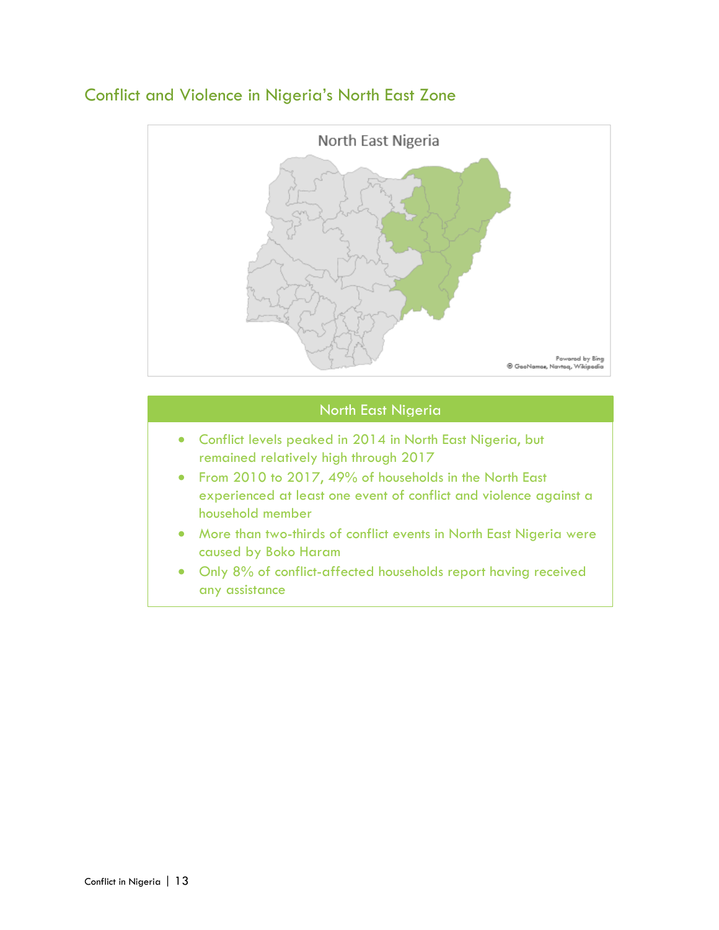# <span id="page-12-0"></span>Conflict and Violence in Nigeria's North East Zone

North East Nigeria



## North East Nigeria

Powered by Bing

- Conflict levels peaked in 2014 in North East Nigeria, but remained relatively high through 2017
- From 2010 to 2017, 49% of households in the North East experienced at least one event of conflict and violence against a household member
- More than two-thirds of conflict events in North East Nigeria were caused by Boko Haram
- Only 8% of conflict-affected households report having received any assistance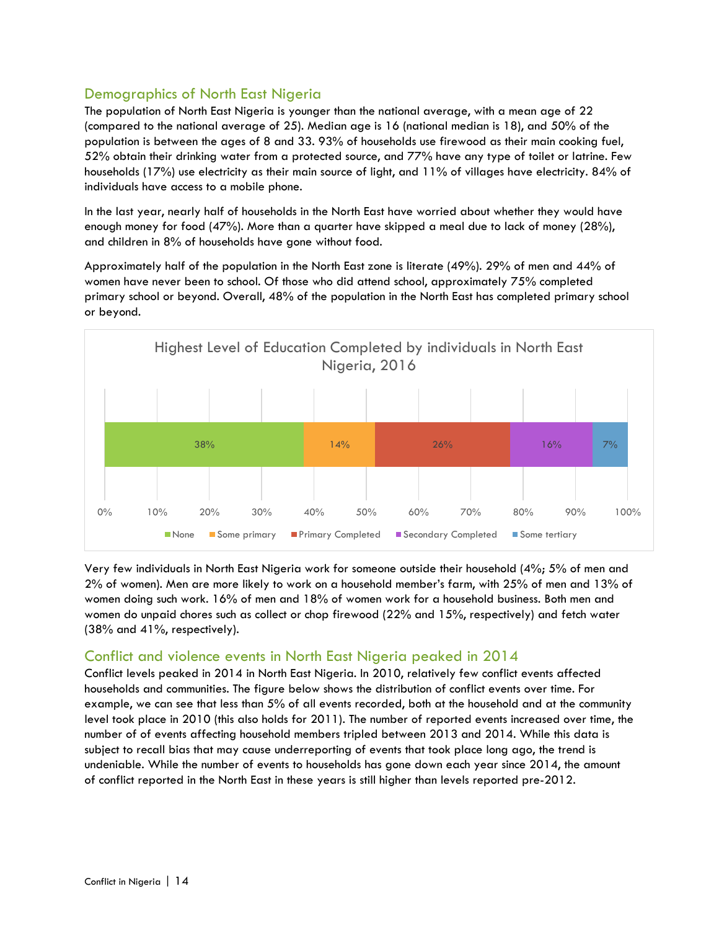## Demographics of North East Nigeria

The population of North East Nigeria is younger than the national average, with a mean age of 22 (compared to the national average of 25). Median age is 16 (national median is 18), and 50% of the population is between the ages of 8 and 33. 93% of households use firewood as their main cooking fuel, 52% obtain their drinking water from a protected source, and 77% have any type of toilet or latrine. Few households (17%) use electricity as their main source of light, and 11% of villages have electricity. 84% of individuals have access to a mobile phone.

In the last year, nearly half of households in the North East have worried about whether they would have enough money for food (47%). More than a quarter have skipped a meal due to lack of money (28%), and children in 8% of households have gone without food.

Approximately half of the population in the North East zone is literate (49%). 29% of men and 44% of women have never been to school. Of those who did attend school, approximately 75% completed primary school or beyond. Overall, 48% of the population in the North East has completed primary school or beyond.



Very few individuals in North East Nigeria work for someone outside their household (4%; 5% of men and 2% of women). Men are more likely to work on a household member's farm, with 25% of men and 13% of women doing such work. 16% of men and 18% of women work for a household business. Both men and women do unpaid chores such as collect or chop firewood (22% and 15%, respectively) and fetch water (38% and 41%, respectively).

#### Conflict and violence events in North East Nigeria peaked in 2014

Conflict levels peaked in 2014 in North East Nigeria. In 2010, relatively few conflict events affected households and communities. The figure below shows the distribution of conflict events over time. For example, we can see that less than 5% of all events recorded, both at the household and at the community level took place in 2010 (this also holds for 2011). The number of reported events increased over time, the number of of events affecting household members tripled between 2013 and 2014. While this data is subject to recall bias that may cause underreporting of events that took place long ago, the trend is undeniable. While the number of events to households has gone down each year since 2014, the amount of conflict reported in the North East in these years is still higher than levels reported pre-2012.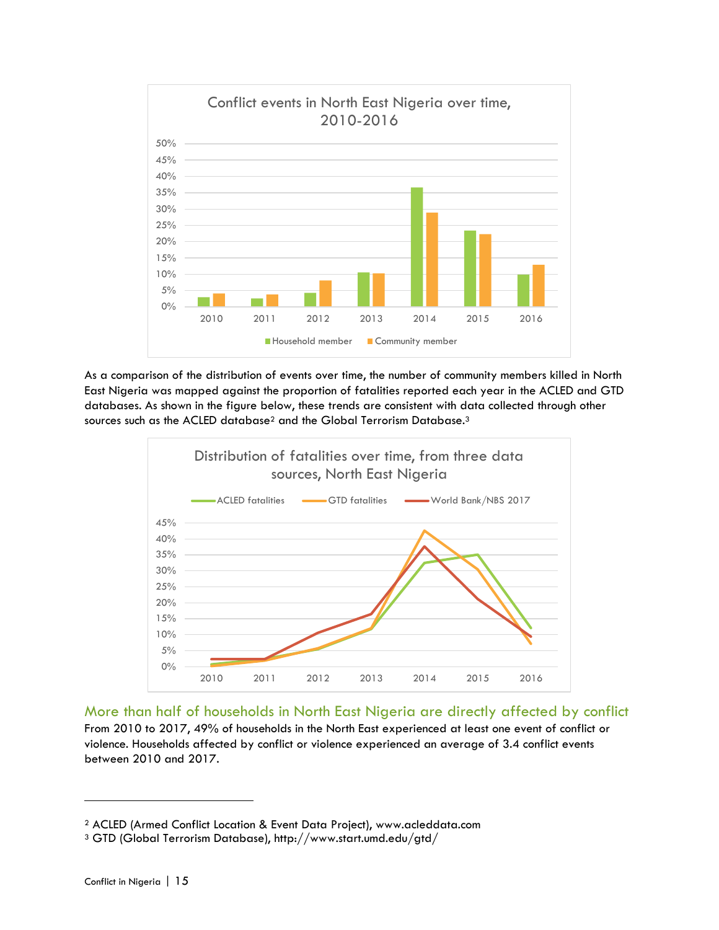

As a comparison of the distribution of events over time, the number of community members killed in North East Nigeria was mapped against the proportion of fatalities reported each year in the ACLED and GTD databases. As shown in the figure below, these trends are consistent with data collected through other sources such as the ACLED database<sup>2</sup> and the Global Terrorism Database.<sup>3</sup>



More than half of households in North East Nigeria are directly affected by conflict From 2010 to 2017, 49% of households in the North East experienced at least one event of conflict or violence. Households affected by conflict or violence experienced an average of 3.4 conflict events between 2010 and 2017.

<sup>2</sup> ACLED (Armed Conflict Location & Event Data Project), www.acleddata.com

<sup>3</sup> GTD (Global Terrorism Database), http://www.start.umd.edu/gtd/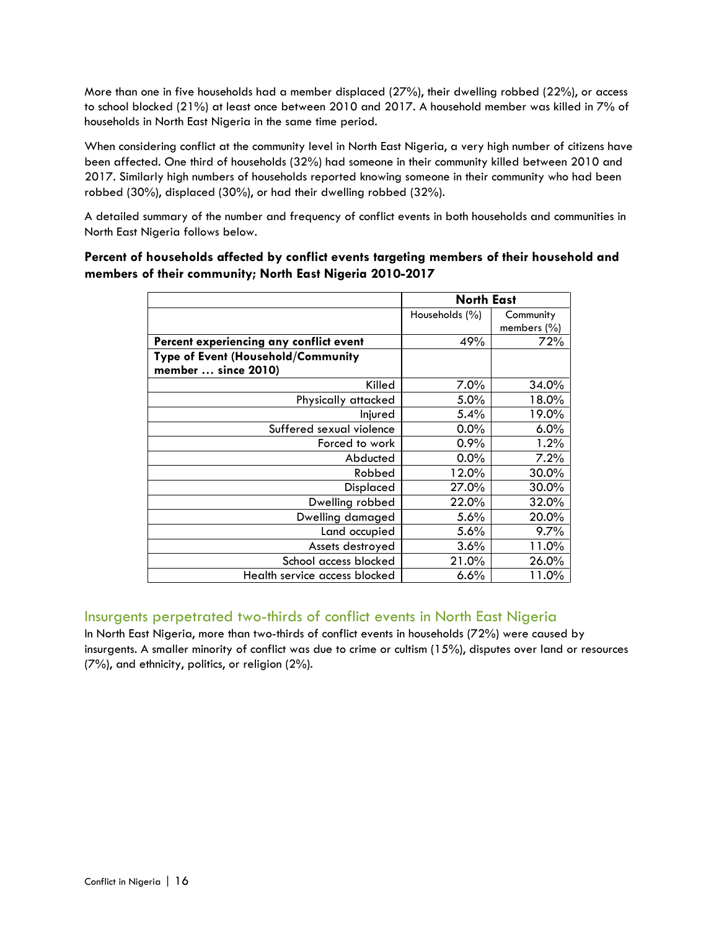More than one in five households had a member displaced (27%), their dwelling robbed (22%), or access to school blocked (21%) at least once between 2010 and 2017. A household member was killed in 7% of households in North East Nigeria in the same time period.

When considering conflict at the community level in North East Nigeria, a very high number of citizens have been affected. One third of households (32%) had someone in their community killed between 2010 and 2017. Similarly high numbers of households reported knowing someone in their community who had been robbed (30%), displaced (30%), or had their dwelling robbed (32%).

A detailed summary of the number and frequency of conflict events in both households and communities in North East Nigeria follows below.

#### **Percent of households affected by conflict events targeting members of their household and members of their community; North East Nigeria 2010-2017**

|                                         | <b>North East</b> |                 |
|-----------------------------------------|-------------------|-----------------|
|                                         | Households (%)    | Community       |
|                                         |                   | members $(\% )$ |
| Percent experiencing any conflict event | 49%               | 72%             |
| Type of Event (Household/Community      |                   |                 |
| member  since 2010)                     |                   |                 |
| Killed                                  | 7.0%              | 34.0%           |
| Physically attacked                     | $5.0\%$           | 18.0%           |
| Injured                                 | 5.4%              | 19.0%           |
| Suffered sexual violence                | 0.0%              | 6.0%            |
| Forced to work                          | 0.9%              | 1.2%            |
| Abducted                                | 0.0%              | 7.2%            |
| Robbed                                  | 12.0%             | 30.0%           |
| Displaced                               | 27.0%             | 30.0%           |
| Dwelling robbed                         | 22.0%             | 32.0%           |
| Dwelling damaged                        | 5.6%              | 20.0%           |
| Land occupied                           | 5.6%              | 9.7%            |
| Assets destroyed                        | 3.6%              | 11.0%           |
| School access blocked                   | 21.0%             | 26.0%           |
| Health service access blocked           | $6.6\%$           | 11.0%           |

## Insurgents perpetrated two-thirds of conflict events in North East Nigeria

In North East Nigeria, more than two-thirds of conflict events in households (72%) were caused by insurgents. A smaller minority of conflict was due to crime or cultism (15%), disputes over land or resources (7%), and ethnicity, politics, or religion (2%).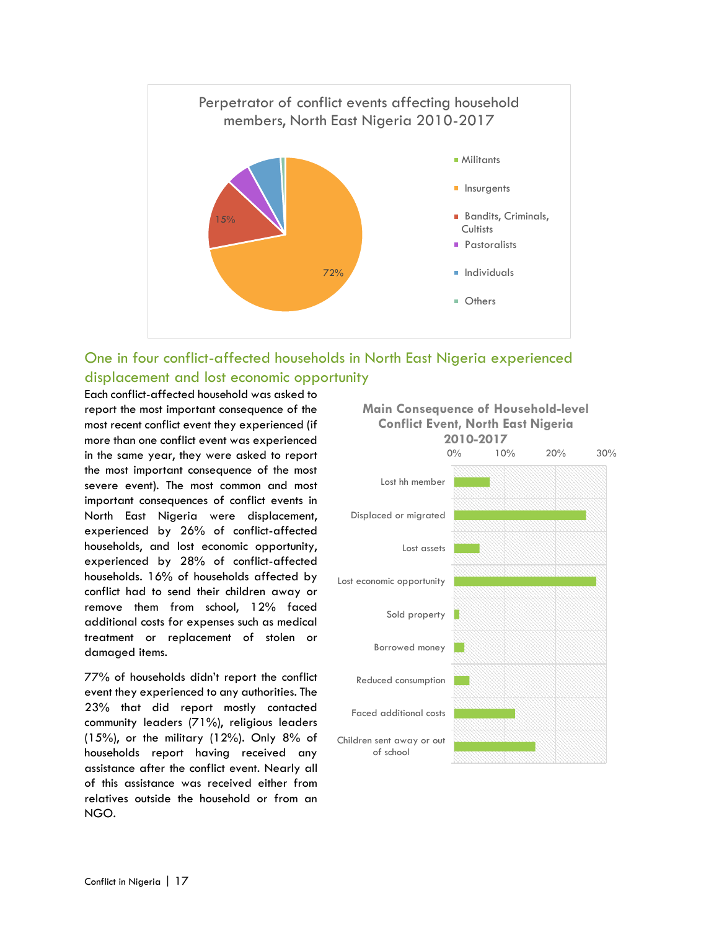

# One in four conflict-affected households in North East Nigeria experienced displacement and lost economic opportunity

Each conflict-affected household was asked to report the most important consequence of the most recent conflict event they experienced (if more than one conflict event was experienced in the same year, they were asked to report the most important consequence of the most severe event). The most common and most important consequences of conflict events in North East Nigeria were displacement, experienced by 26% of conflict-affected households, and lost economic opportunity, experienced by 28% of conflict-affected households. 16% of households affected by conflict had to send their children away or remove them from school, 12% faced additional costs for expenses such as medical treatment or replacement of stolen or damaged items.

77% of households didn't report the conflict event they experienced to any authorities. The 23% that did report mostly contacted community leaders (71%), religious leaders (15%), or the military (12%). Only 8% of households report having received any assistance after the conflict event. Nearly all of this assistance was received either from relatives outside the household or from an NGO.

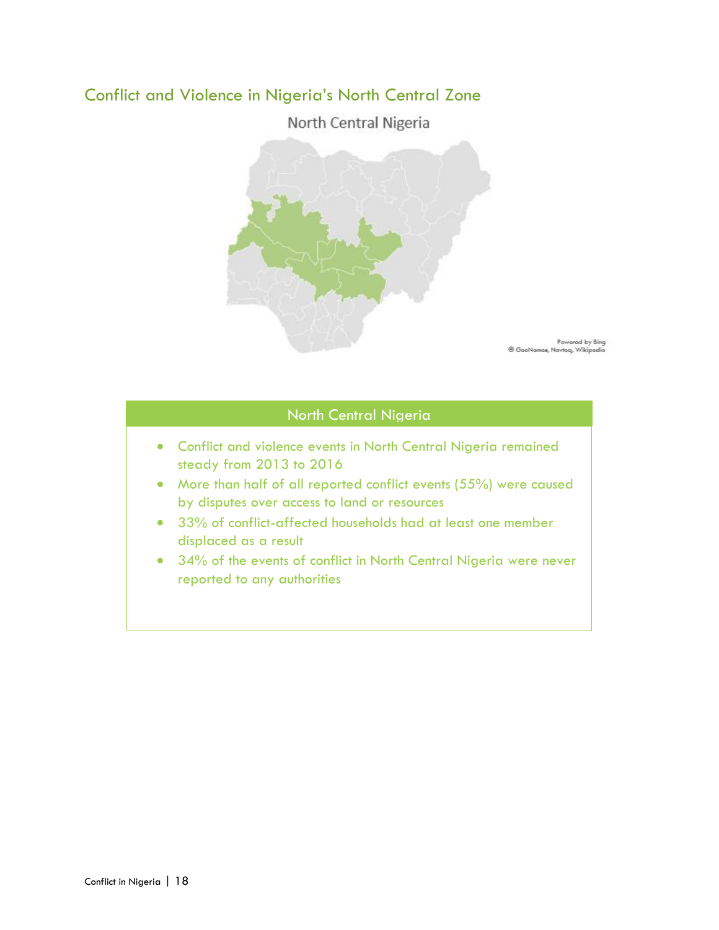# <span id="page-17-0"></span>Conflict and Violence in Nigeria's North Central Zone

North Central Nigeria



Powarad by Bing<br>© GaoNamos, Novtoq, Wikipodia

# North Central Nigeria

- Conflict and violence events in North Central Nigeria remained steady from 2013 to 2016
- More than half of all reported conflict events (55%) were caused by disputes over access to land or resources
- 33% of conflict-affected households had at least one member displaced as a result
- 34% of the events of conflict in North Central Nigeria were never reported to any authorities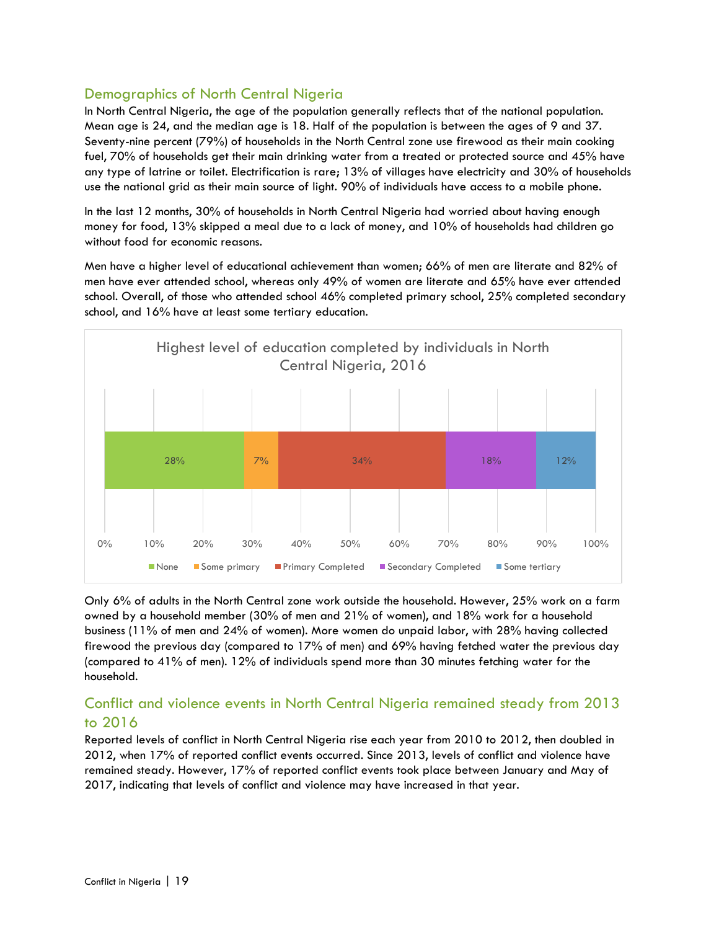# Demographics of North Central Nigeria

In North Central Nigeria, the age of the population generally reflects that of the national population. Mean age is 24, and the median age is 18. Half of the population is between the ages of 9 and 37. Seventy-nine percent (79%) of households in the North Central zone use firewood as their main cooking fuel, 70% of households get their main drinking water from a treated or protected source and 45% have any type of latrine or toilet. Electrification is rare; 13% of villages have electricity and 30% of households use the national grid as their main source of light. 90% of individuals have access to a mobile phone.

In the last 12 months, 30% of households in North Central Nigeria had worried about having enough money for food, 13% skipped a meal due to a lack of money, and 10% of households had children go without food for economic reasons.

Men have a higher level of educational achievement than women; 66% of men are literate and 82% of men have ever attended school, whereas only 49% of women are literate and 65% have ever attended school. Overall, of those who attended school 46% completed primary school, 25% completed secondary school, and 16% have at least some tertiary education.



Only 6% of adults in the North Central zone work outside the household. However, 25% work on a farm owned by a household member (30% of men and 21% of women), and 18% work for a household business (11% of men and 24% of women). More women do unpaid labor, with 28% having collected firewood the previous day (compared to 17% of men) and 69% having fetched water the previous day (compared to 41% of men). 12% of individuals spend more than 30 minutes fetching water for the household.

# Conflict and violence events in North Central Nigeria remained steady from 2013 to 2016

Reported levels of conflict in North Central Nigeria rise each year from 2010 to 2012, then doubled in 2012, when 17% of reported conflict events occurred. Since 2013, levels of conflict and violence have remained steady. However, 17% of reported conflict events took place between January and May of 2017, indicating that levels of conflict and violence may have increased in that year.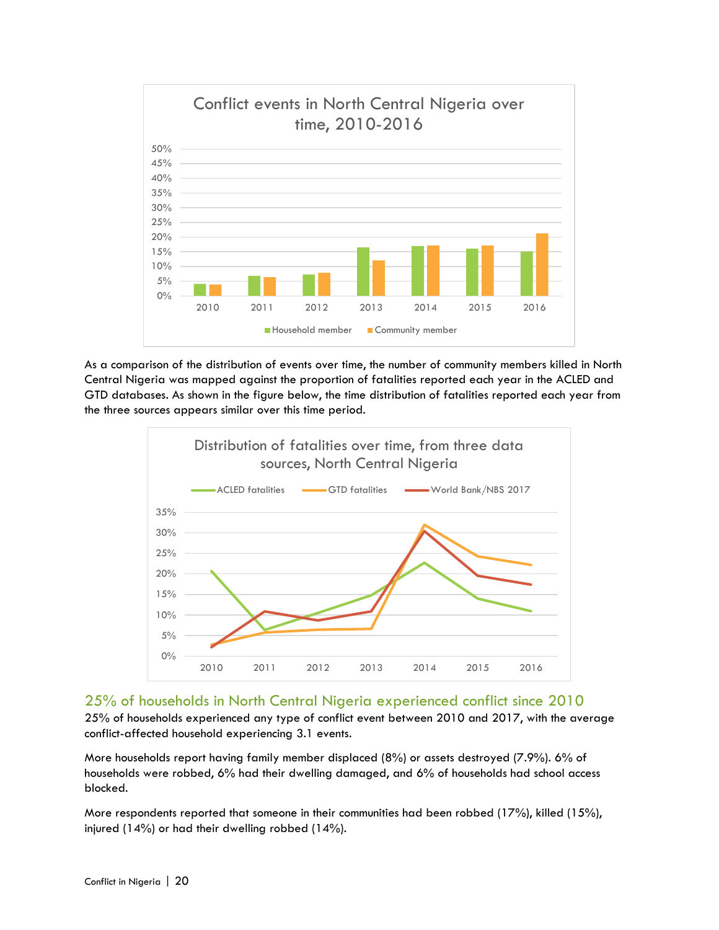

As a comparison of the distribution of events over time, the number of community members killed in North Central Nigeria was mapped against the proportion of fatalities reported each year in the ACLED and GTD databases. As shown in the figure below, the time distribution of fatalities reported each year from the three sources appears similar over this time period.



## 25% of households in North Central Nigeria experienced conflict since 2010

25% of households experienced any type of conflict event between 2010 and 2017, with the average conflict-affected household experiencing 3.1 events.

More households report having family member displaced (8%) or assets destroyed (7.9%). 6% of households were robbed, 6% had their dwelling damaged, and 6% of households had school access blocked.

More respondents reported that someone in their communities had been robbed (17%), killed (15%), injured (14%) or had their dwelling robbed (14%).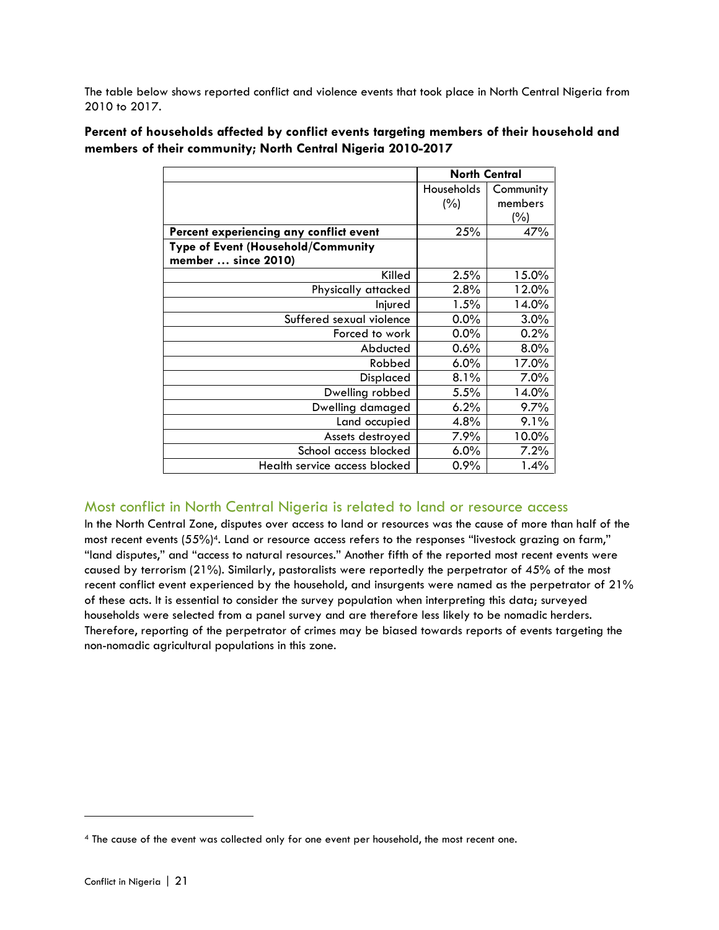The table below shows reported conflict and violence events that took place in North Central Nigeria from 2010 to 2017.

|                                         |            | <b>North Central</b> |
|-----------------------------------------|------------|----------------------|
|                                         | Households | Community            |
|                                         | $(\%)$     | members              |
|                                         |            | (%)                  |
| Percent experiencing any conflict event | 25%        | 47%                  |
| Type of Event (Household/Community      |            |                      |
| member  since 2010)                     |            |                      |
| Killed                                  | 2.5%       | 15.0%                |
| Physically attacked                     | 2.8%       | 12.0%                |
| Injured                                 | 1.5%       | 14.0%                |
| Suffered sexual violence                | $0.0\%$    | 3.0%                 |
| Forced to work                          | $0.0\%$    | 0.2%                 |
| Abducted                                | 0.6%       | 8.0%                 |
| Robbed                                  | 6.0%       | 17.0%                |
| Displaced                               | 8.1%       | 7.0%                 |
| Dwelling robbed                         | 5.5%       | 14.0%                |
| Dwelling damaged                        | 6.2%       | 9.7%                 |
| Land occupied                           | 4.8%       | 9.1%                 |
| Assets destroyed                        | 7.9%       | 10.0%                |
| School access blocked                   | 6.0%       | 7.2%                 |
| Health service access blocked           | 0.9%       | 1.4%                 |

**Percent of households affected by conflict events targeting members of their household and members of their community; North Central Nigeria 2010-2017**

## Most conflict in North Central Nigeria is related to land or resource access

In the North Central Zone, disputes over access to land or resources was the cause of more than half of the most recent events (55%)4. Land or resource access refers to the responses "livestock grazing on farm," "land disputes," and "access to natural resources." Another fifth of the reported most recent events were caused by terrorism (21%). Similarly, pastoralists were reportedly the perpetrator of 45% of the most recent conflict event experienced by the household, and insurgents were named as the perpetrator of 21% of these acts. It is essential to consider the survey population when interpreting this data; surveyed households were selected from a panel survey and are therefore less likely to be nomadic herders. Therefore, reporting of the perpetrator of crimes may be biased towards reports of events targeting the non-nomadic agricultural populations in this zone.

<sup>4</sup> The cause of the event was collected only for one event per household, the most recent one.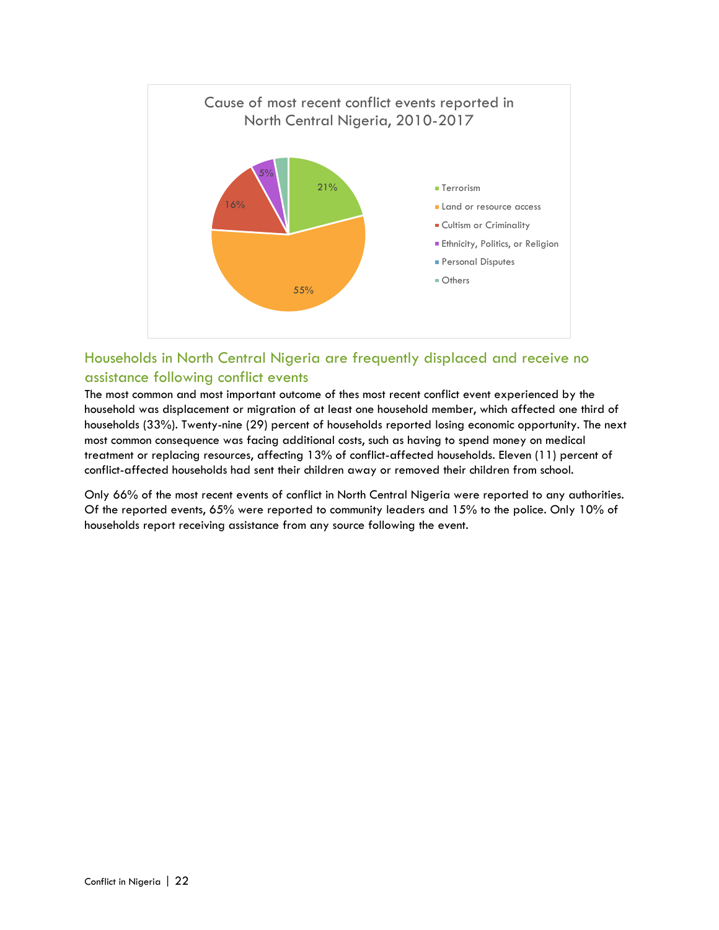

# Households in North Central Nigeria are frequently displaced and receive no assistance following conflict events

The most common and most important outcome of thes most recent conflict event experienced by the household was displacement or migration of at least one household member, which affected one third of households (33%). Twenty-nine (29) percent of households reported losing economic opportunity. The next most common consequence was facing additional costs, such as having to spend money on medical treatment or replacing resources, affecting 13% of conflict-affected households. Eleven (11) percent of conflict-affected households had sent their children away or removed their children from school.

Only 66% of the most recent events of conflict in North Central Nigeria were reported to any authorities. Of the reported events, 65% were reported to community leaders and 15% to the police. Only 10% of households report receiving assistance from any source following the event.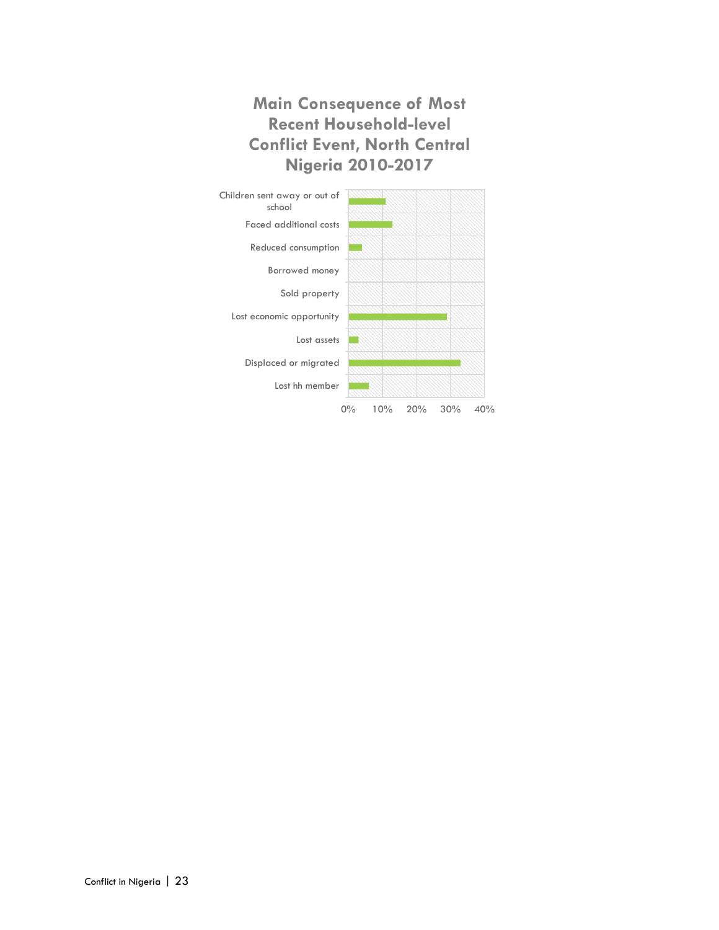# **Main Consequence of Most Recent Household-level Conflict Event, North Central Nigeria 2010-2017**

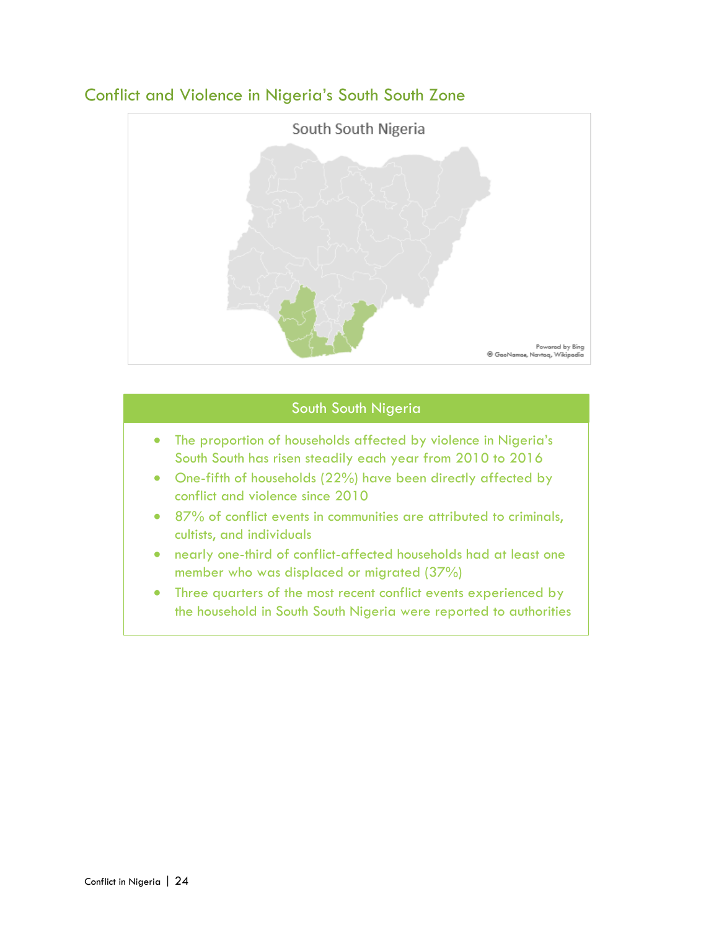# <span id="page-23-0"></span>Conflict and Violence in Nigeria's South South Zone

South South Nigeria ® GooNamae, Navtoq, Wikipodia

Poworod by Bing

# South South Nigeria

- The proportion of households affected by violence in Nigeria's South South has risen steadily each year from 2010 to 2016
- One-fifth of households (22%) have been directly affected by conflict and violence since 2010
- 87% of conflict events in communities are attributed to criminals, cultists, and individuals
- nearly one-third of conflict-affected households had at least one member who was displaced or migrated (37%)
- Three quarters of the most recent conflict events experienced by the household in South South Nigeria were reported to authorities

Conflict in Nigeria | 24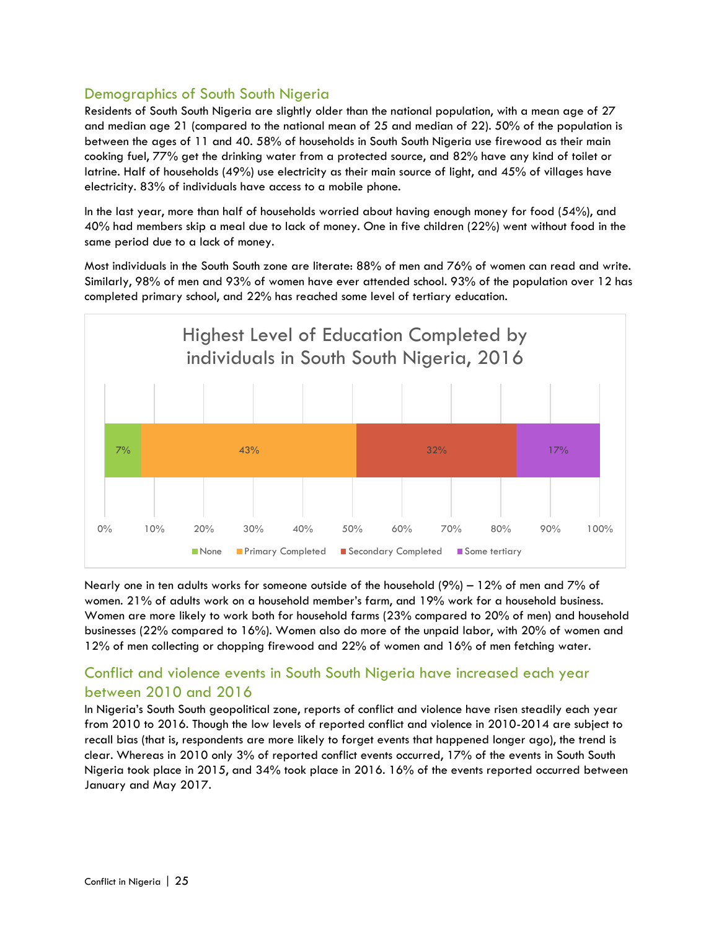## Demographics of South South Nigeria

Residents of South South Nigeria are slightly older than the national population, with a mean age of 27 and median age 21 (compared to the national mean of 25 and median of 22). 50% of the population is between the ages of 11 and 40. 58% of households in South South Nigeria use firewood as their main cooking fuel, 77% get the drinking water from a protected source, and 82% have any kind of toilet or latrine. Half of households (49%) use electricity as their main source of light, and 45% of villages have electricity. 83% of individuals have access to a mobile phone.

In the last year, more than half of households worried about having enough money for food (54%), and 40% had members skip a meal due to lack of money. One in five children (22%) went without food in the same period due to a lack of money.

Most individuals in the South South zone are literate: 88% of men and 76% of women can read and write. Similarly, 98% of men and 93% of women have ever attended school. 93% of the population over 12 has completed primary school, and 22% has reached some level of tertiary education.



Nearly one in ten adults works for someone outside of the household (9%) – 12% of men and 7% of women. 21% of adults work on a household member's farm, and 19% work for a household business. Women are more likely to work both for household farms (23% compared to 20% of men) and household businesses (22% compared to 16%). Women also do more of the unpaid labor, with 20% of women and 12% of men collecting or chopping firewood and 22% of women and 16% of men fetching water.

# Conflict and violence events in South South Nigeria have increased each year between 2010 and 2016

In Nigeria's South South geopolitical zone, reports of conflict and violence have risen steadily each year from 2010 to 2016. Though the low levels of reported conflict and violence in 2010-2014 are subject to recall bias (that is, respondents are more likely to forget events that happened longer ago), the trend is clear. Whereas in 2010 only 3% of reported conflict events occurred, 17% of the events in South South Nigeria took place in 2015, and 34% took place in 2016. 16% of the events reported occurred between January and May 2017.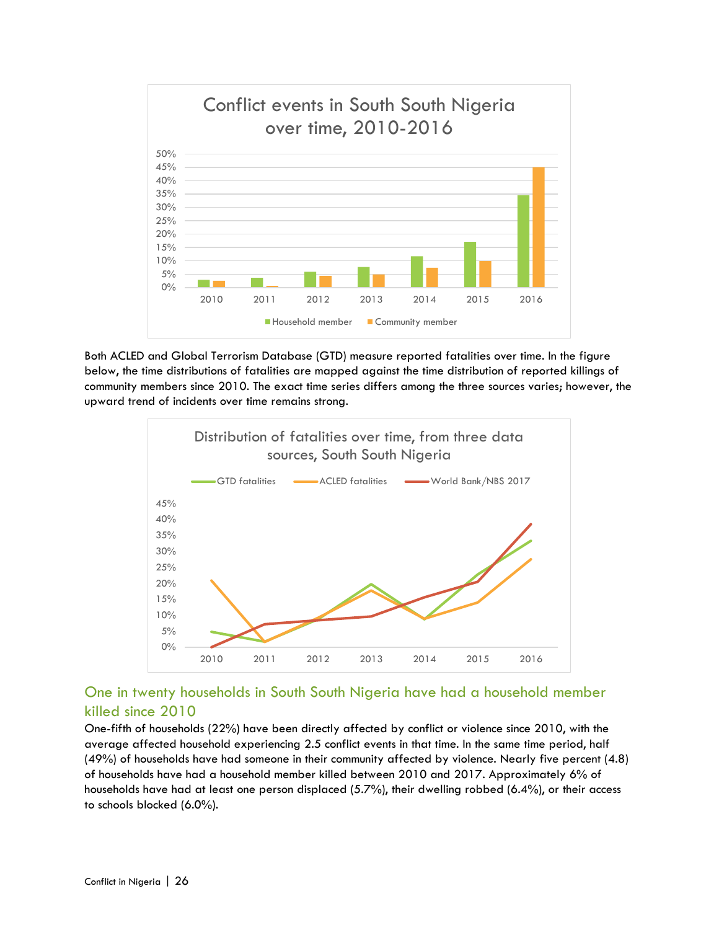

Both ACLED and Global Terrorism Database (GTD) measure reported fatalities over time. In the figure below, the time distributions of fatalities are mapped against the time distribution of reported killings of community members since 2010. The exact time series differs among the three sources varies; however, the upward trend of incidents over time remains strong.



## One in twenty households in South South Nigeria have had a household member killed since 2010

One-fifth of households (22%) have been directly affected by conflict or violence since 2010, with the average affected household experiencing 2.5 conflict events in that time. In the same time period, half (49%) of households have had someone in their community affected by violence. Nearly five percent (4.8) of households have had a household member killed between 2010 and 2017. Approximately 6% of households have had at least one person displaced (5.7%), their dwelling robbed (6.4%), or their access to schools blocked (6.0%).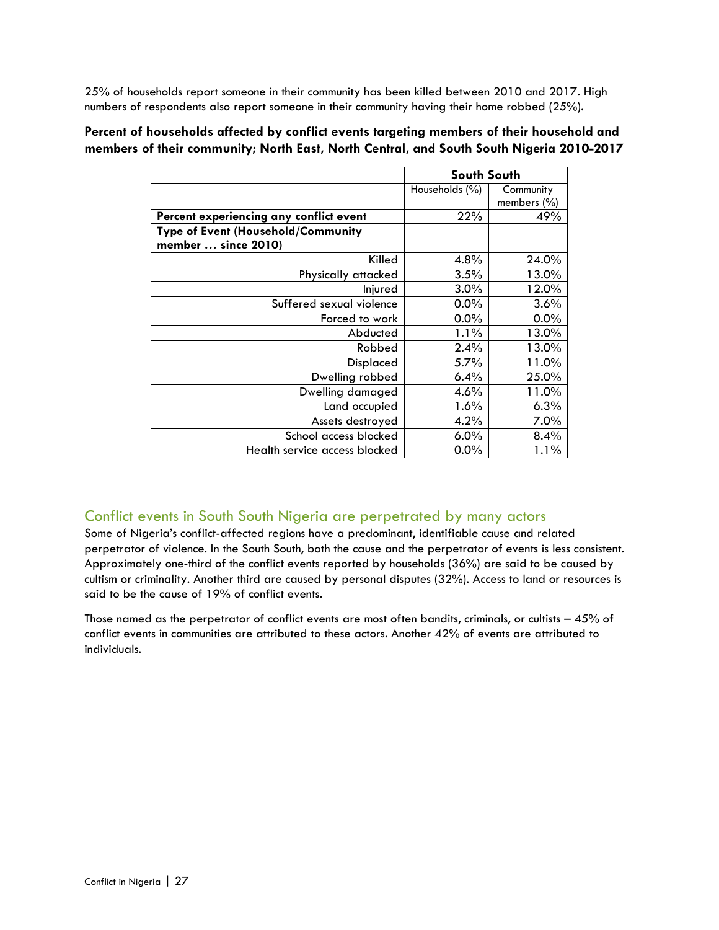25% of households report someone in their community has been killed between 2010 and 2017. High numbers of respondents also report someone in their community having their home robbed (25%).

|                                         | South South    |                          |
|-----------------------------------------|----------------|--------------------------|
|                                         | Households (%) | Community<br>members (%) |
| Percent experiencing any conflict event | 22%            | 49%                      |
| Type of Event (Household/Community      |                |                          |
| member  since 2010)                     |                |                          |
| Killed                                  | 4.8%           | 24.0%                    |
| Physically attacked                     | 3.5%           | 13.0%                    |
| Injured                                 | 3.0%           | 12.0%                    |
| Suffered sexual violence                | $0.0\%$        | 3.6%                     |
| Forced to work                          | $0.0\%$        | 0.0%                     |
| Abducted                                | 1.1%           | 13.0%                    |
| Robbed                                  | 2.4%           | 13.0%                    |
| <b>Displaced</b>                        | 5.7%           | 11.0%                    |
| Dwelling robbed                         | 6.4%           | 25.0%                    |
| Dwelling damaged                        | 4.6%           | 11.0%                    |
| Land occupied                           | 1.6%           | 6.3%                     |
| Assets destroyed                        | 4.2%           | 7.0%                     |
| School access blocked                   | 6.0%           | 8.4%                     |
| Health service access blocked           | $0.0\%$        | 1.1%                     |

#### **Percent of households affected by conflict events targeting members of their household and members of their community; North East, North Central, and South South Nigeria 2010-2017**

# Conflict events in South South Nigeria are perpetrated by many actors

Some of Nigeria's conflict-affected regions have a predominant, identifiable cause and related perpetrator of violence. In the South South, both the cause and the perpetrator of events is less consistent. Approximately one-third of the conflict events reported by households (36%) are said to be caused by cultism or criminality. Another third are caused by personal disputes (32%). Access to land or resources is said to be the cause of 19% of conflict events.

Those named as the perpetrator of conflict events are most often bandits, criminals, or cultists – 45% of conflict events in communities are attributed to these actors. Another 42% of events are attributed to individuals.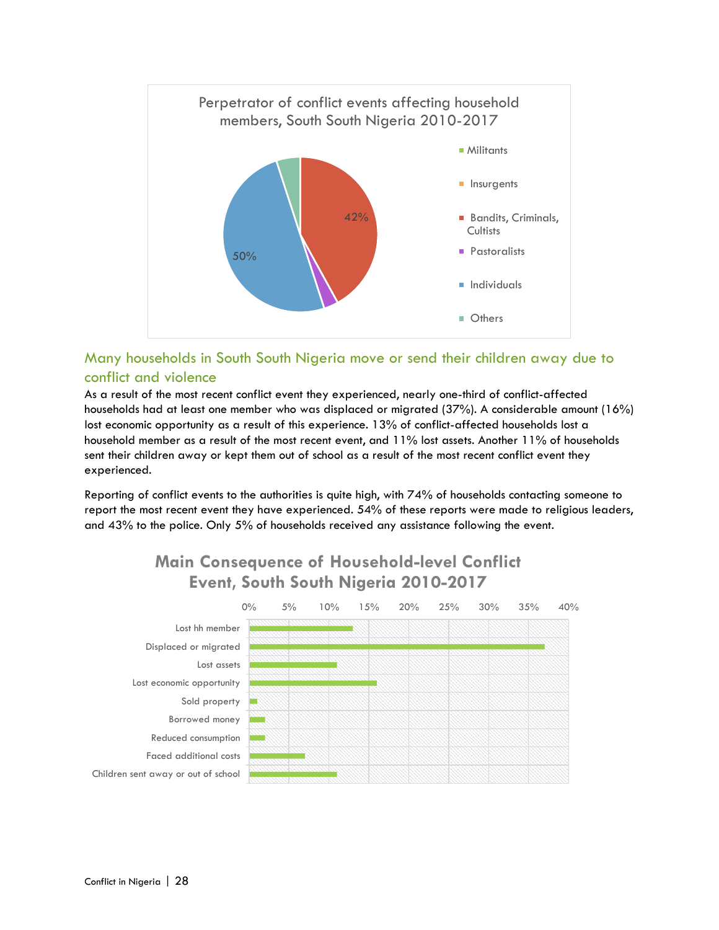

# Many households in South South Nigeria move or send their children away due to conflict and violence

As a result of the most recent conflict event they experienced, nearly one-third of conflict-affected households had at least one member who was displaced or migrated (37%). A considerable amount (16%) lost economic opportunity as a result of this experience. 13% of conflict-affected households lost a household member as a result of the most recent event, and 11% lost assets. Another 11% of households sent their children away or kept them out of school as a result of the most recent conflict event they experienced.

Reporting of conflict events to the authorities is quite high, with 74% of households contacting someone to report the most recent event they have experienced. 54% of these reports were made to religious leaders, and 43% to the police. Only 5% of households received any assistance following the event.



# **Main Consequence of Household-level Conflict Event, South South Nigeria 2010-2017**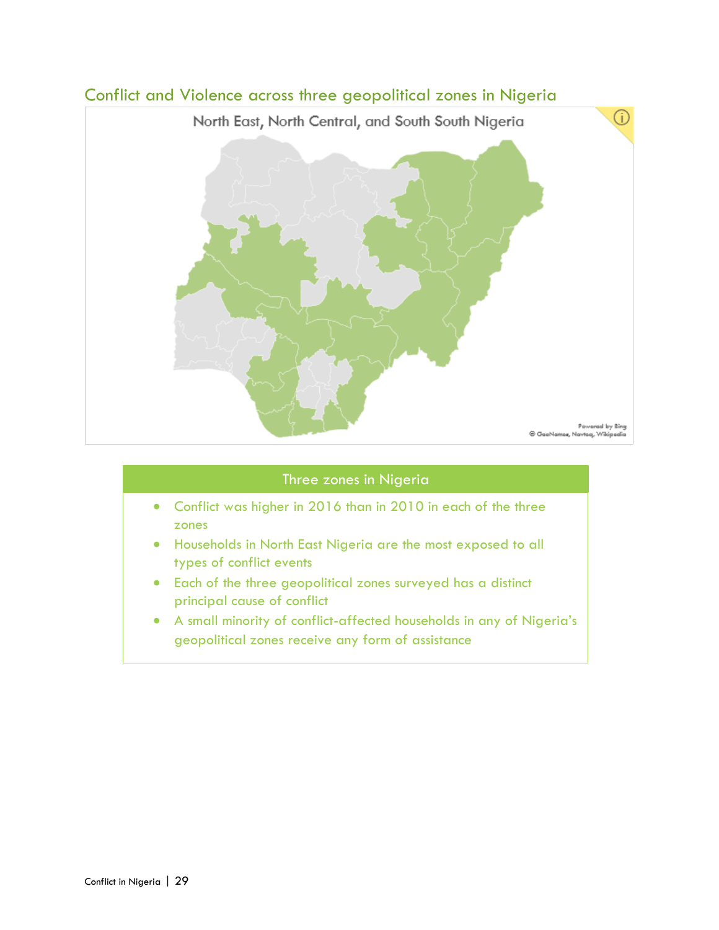# <span id="page-28-0"></span>Conflict and Violence across three geopolitical zones in Nigeria

North East, North Central, and South South Nigeria



(i)

#### Three zones in Nigeria

- Conflict was higher in 2016 than in 2010 in each of the three zones
- Households in North East Nigeria are the most exposed to all types of conflict events
- Each of the three geopolitical zones surveyed has a distinct principal cause of conflict
- A small minority of conflict-affected households in any of Nigeria's geopolitical zones receive any form of assistance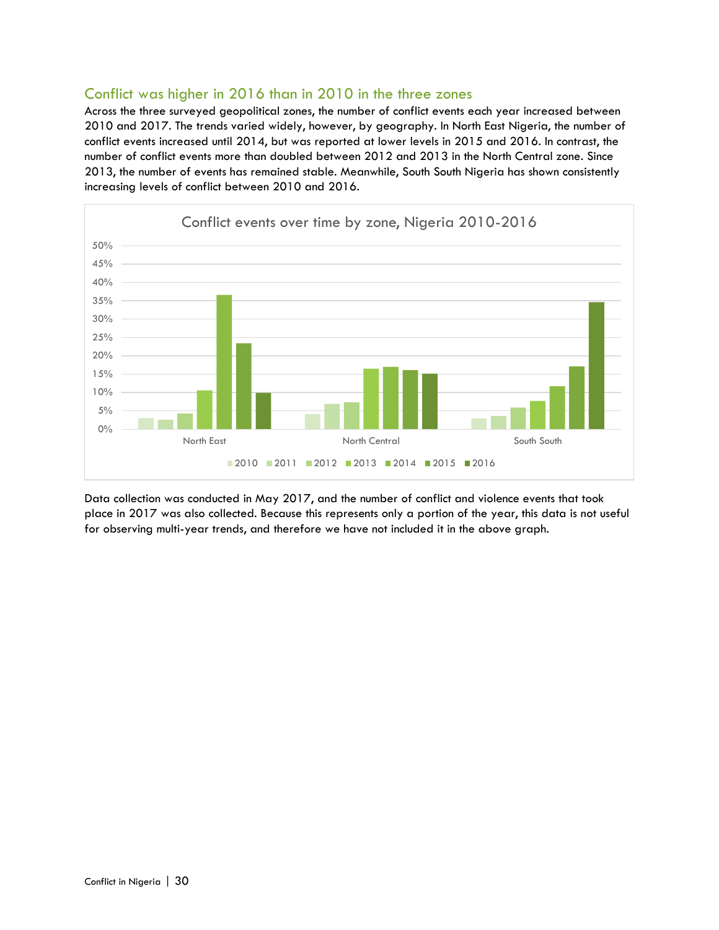#### Conflict was higher in 2016 than in 2010 in the three zones

Across the three surveyed geopolitical zones, the number of conflict events each year increased between 2010 and 2017. The trends varied widely, however, by geography. In North East Nigeria, the number of conflict events increased until 2014, but was reported at lower levels in 2015 and 2016. In contrast, the number of conflict events more than doubled between 2012 and 2013 in the North Central zone. Since 2013, the number of events has remained stable. Meanwhile, South South Nigeria has shown consistently increasing levels of conflict between 2010 and 2016.



Data collection was conducted in May 2017, and the number of conflict and violence events that took place in 2017 was also collected. Because this represents only a portion of the year, this data is not useful for observing multi-year trends, and therefore we have not included it in the above graph.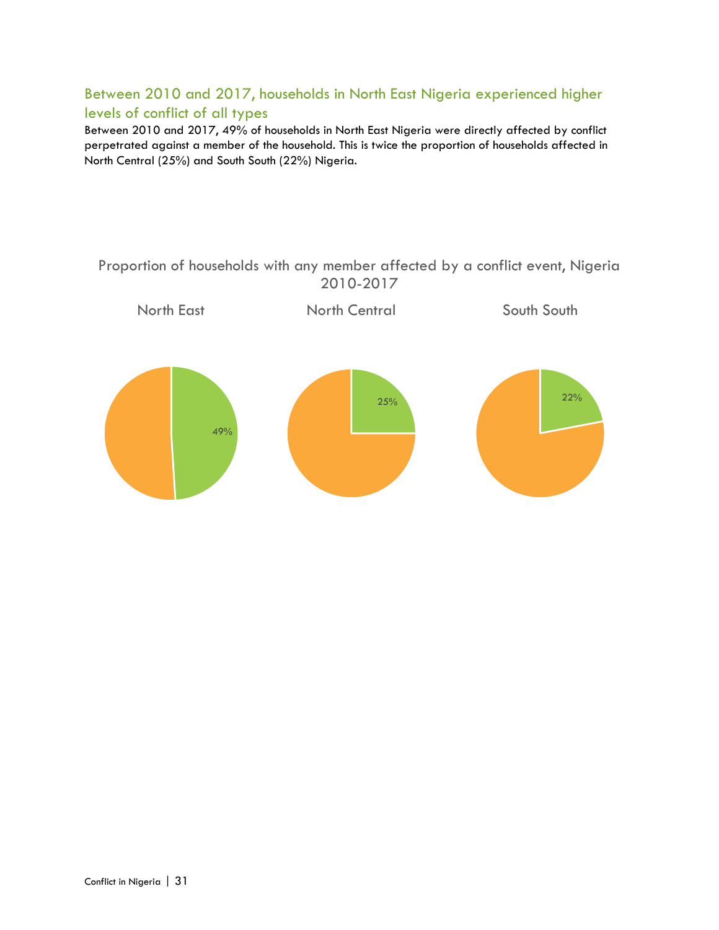# Between 2010 and 2017, households in North East Nigeria experienced higher levels of conflict of all types

Between 2010 and 2017, 49% of households in North East Nigeria were directly affected by conflict perpetrated against a member of the household. This is twice the proportion of households affected in North Central (25%) and South South (22%) Nigeria.

## Proportion of households with any member affected by a conflict event, Nigeria 2010-2017

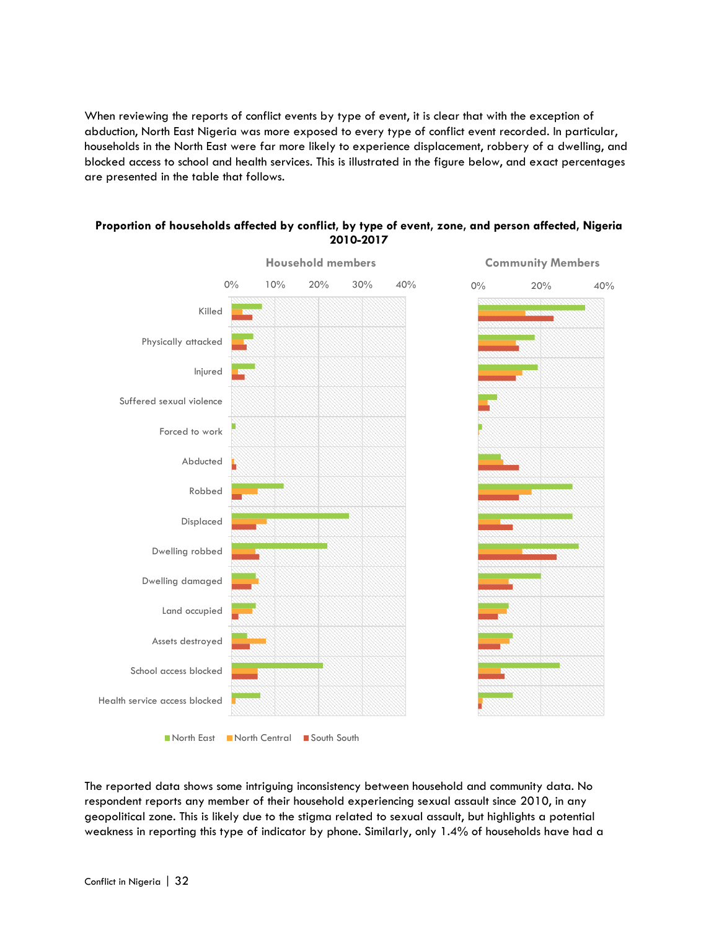When reviewing the reports of conflict events by type of event, it is clear that with the exception of abduction, North East Nigeria was more exposed to every type of conflict event recorded. In particular, households in the North East were far more likely to experience displacement, robbery of a dwelling, and blocked access to school and health services. This is illustrated in the figure below, and exact percentages are presented in the table that follows.



#### **Proportion of households affected by conflict, by type of event, zone, and person affected, Nigeria 2010-2017**

The reported data shows some intriguing inconsistency between household and community data. No respondent reports any member of their household experiencing sexual assault since 2010, in any geopolitical zone. This is likely due to the stigma related to sexual assault, but highlights a potential weakness in reporting this type of indicator by phone. Similarly, only 1.4% of households have had a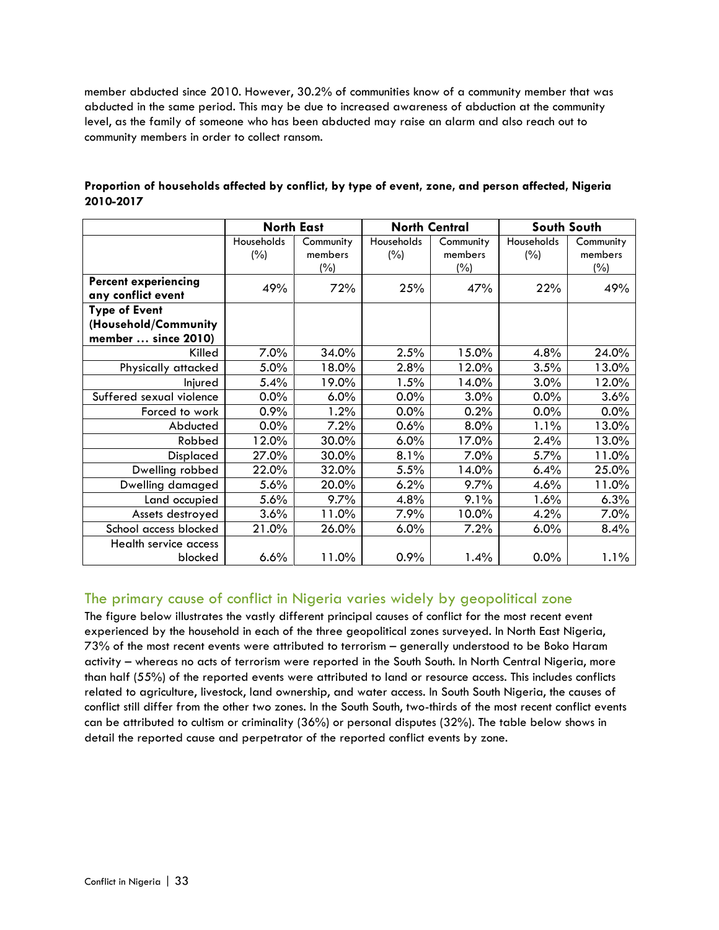member abducted since 2010. However, 30.2% of communities know of a community member that was abducted in the same period. This may be due to increased awareness of abduction at the community level, as the family of someone who has been abducted may raise an alarm and also reach out to community members in order to collect ransom.

|                             | <b>North East</b> |           | <b>North Central</b> |           | South South |           |  |
|-----------------------------|-------------------|-----------|----------------------|-----------|-------------|-----------|--|
|                             | Households        | Community | Households           | Community | Households  | Community |  |
|                             | (%)               | members   | (%)                  | members   | (%)         | members   |  |
|                             |                   | (%)       |                      | $(\% )$   |             | (%)       |  |
| <b>Percent experiencing</b> | 49%               | 72%       | 25%                  | 47%       | 22%         | 49%       |  |
| any conflict event          |                   |           |                      |           |             |           |  |
| <b>Type of Event</b>        |                   |           |                      |           |             |           |  |
| (Household/Community        |                   |           |                      |           |             |           |  |
| member  since 2010)         |                   |           |                      |           |             |           |  |
| Killed                      | 7.0%              | 34.0%     | 2.5%                 | 15.0%     | 4.8%        | 24.0%     |  |
| Physically attacked         | 5.0%              | 18.0%     | 2.8%                 | 12.0%     | 3.5%        | 13.0%     |  |
| Injured                     | 5.4%              | 19.0%     | 1.5%                 | 14.0%     | 3.0%        | 12.0%     |  |
| Suffered sexual violence    | 0.0%              | 6.0%      | 0.0%                 | 3.0%      | 0.0%        | 3.6%      |  |
| Forced to work              | 0.9%              | 1.2%      | 0.0%                 | 0.2%      | 0.0%        | 0.0%      |  |
| Abducted                    | $0.0\%$           | 7.2%      | 0.6%                 | 8.0%      | 1.1%        | 13.0%     |  |
| Robbed                      | 12.0%             | 30.0%     | 6.0%                 | 17.0%     | 2.4%        | 13.0%     |  |
| Displaced                   | 27.0%             | 30.0%     | 8.1%                 | 7.0%      | 5.7%        | 11.0%     |  |
| Dwelling robbed             | 22.0%             | 32.0%     | 5.5%                 | 14.0%     | 6.4%        | 25.0%     |  |
| Dwelling damaged            | 5.6%              | 20.0%     | 6.2%                 | 9.7%      | 4.6%        | 11.0%     |  |
| Land occupied               | 5.6%              | 9.7%      | 4.8%                 | 9.1%      | 1.6%        | 6.3%      |  |
| Assets destroyed            | 3.6%              | 11.0%     | 7.9%                 | 10.0%     | 4.2%        | 7.0%      |  |
| School access blocked       | 21.0%             | 26.0%     | 6.0%                 | 7.2%      | 6.0%        | 8.4%      |  |
| Health service access       |                   |           |                      |           |             |           |  |
| blocked                     | 6.6%              | 11.0%     | 0.9%                 | 1.4%      | 0.0%        | 1.1%      |  |

#### **Proportion of households affected by conflict, by type of event, zone, and person affected, Nigeria 2010-2017**

# The primary cause of conflict in Nigeria varies widely by geopolitical zone

The figure below illustrates the vastly different principal causes of conflict for the most recent event experienced by the household in each of the three geopolitical zones surveyed. In North East Nigeria, 73% of the most recent events were attributed to terrorism – generally understood to be Boko Haram activity – whereas no acts of terrorism were reported in the South South. In North Central Nigeria, more than half (55%) of the reported events were attributed to land or resource access. This includes conflicts related to agriculture, livestock, land ownership, and water access. In South South Nigeria, the causes of conflict still differ from the other two zones. In the South South, two-thirds of the most recent conflict events can be attributed to cultism or criminality (36%) or personal disputes (32%). The table below shows in detail the reported cause and perpetrator of the reported conflict events by zone.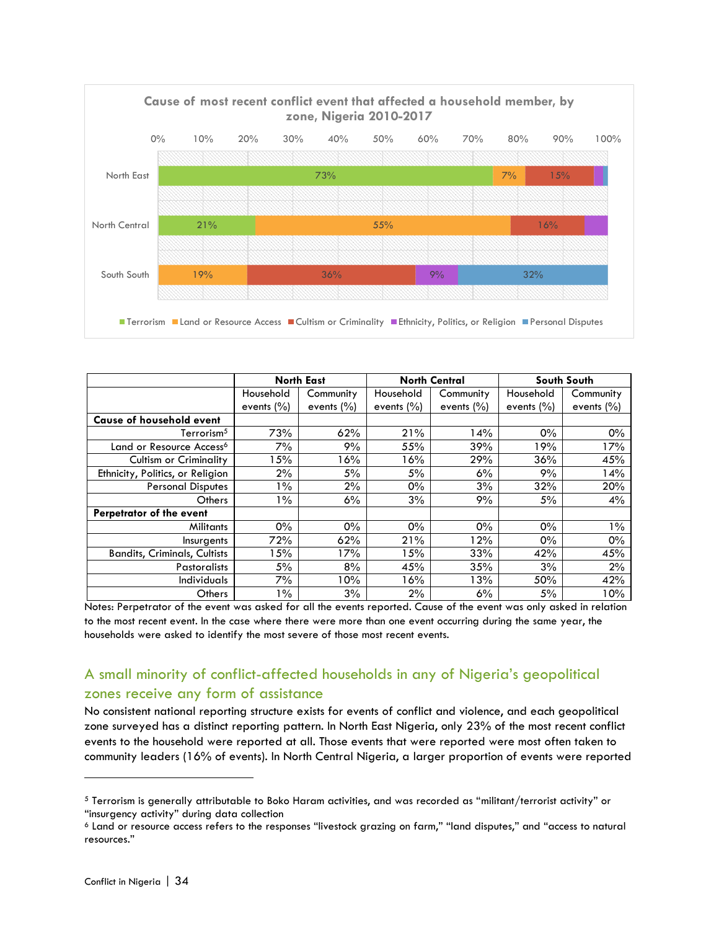

|                                      |                | <b>North East</b> |                | <b>North Central</b> | South South    |                |  |
|--------------------------------------|----------------|-------------------|----------------|----------------------|----------------|----------------|--|
|                                      | Household      | Community         | Household      | Community            | Household      | Community      |  |
|                                      | events $(\% )$ | events $(\% )$    | events $(\% )$ | events $(\% )$       | events $(\% )$ | events $(\% )$ |  |
| Cause of household event             |                |                   |                |                      |                |                |  |
| Terrorism $^5\,$                     | 73%            | 62%               | 21%            | 14%                  | 0%             | 0%             |  |
| Land or Resource Access <sup>6</sup> | 7%             | 9%                | 55%            | 39%                  | 19%            | 17%            |  |
| Cultism or Criminality               | 5%             | 16%               | 16%            | 29%                  | 36%            | 45%            |  |
| Ethnicity, Politics, or Religion     | 2%             | 5%                | 5%             | 6%                   | 9%             | 14%            |  |
| <b>Personal Disputes</b>             | $1\%$          | 2%                | $0\%$          | 3%                   | 32%            | 20%            |  |
| Others                               | $1\%$          | 6%                | 3%             | 9%                   | 5%             | 4%             |  |
| Perpetrator of the event             |                |                   |                |                      |                |                |  |
| <b>Militants</b>                     | $0\%$          | $0\%$             | $0\%$          | $0\%$                | $0\%$          | $1\%$          |  |
| Insurgents                           | 72%            | 62%               | 21%            | 12%                  | 0%             | 0%             |  |
| <b>Bandits, Criminals, Cultists</b>  | 5%             | 17%               | 15%            | 33%                  | 42%            | 45%            |  |
| <b>Pastoralists</b>                  | 5%             | 8%                | 45%            | 35%                  | 3%             | 2%             |  |
| <b>Individuals</b>                   | 7%             | 10%               | 16%            | 13%                  | 50%            | 42%            |  |
| <b>Others</b>                        | $1\%$          | 3%                | 2%             | 6%                   | 5%             | 10%            |  |

Notes: Perpetrator of the event was asked for all the events reported. Cause of the event was only asked in relation to the most recent event. In the case where there were more than one event occurring during the same year, the households were asked to identify the most severe of those most recent events.

# A small minority of conflict-affected households in any of Nigeria's geopolitical zones receive any form of assistance

No consistent national reporting structure exists for events of conflict and violence, and each geopolitical zone surveyed has a distinct reporting pattern. In North East Nigeria, only 23% of the most recent conflict events to the household were reported at all. Those events that were reported were most often taken to community leaders (16% of events). In North Central Nigeria, a larger proportion of events were reported

<sup>5</sup> Terrorism is generally attributable to Boko Haram activities, and was recorded as "militant/terrorist activity" or

<sup>&</sup>quot;insurgency activity" during data collection

<sup>6</sup> Land or resource access refers to the responses "livestock grazing on farm," "land disputes," and "access to natural resources."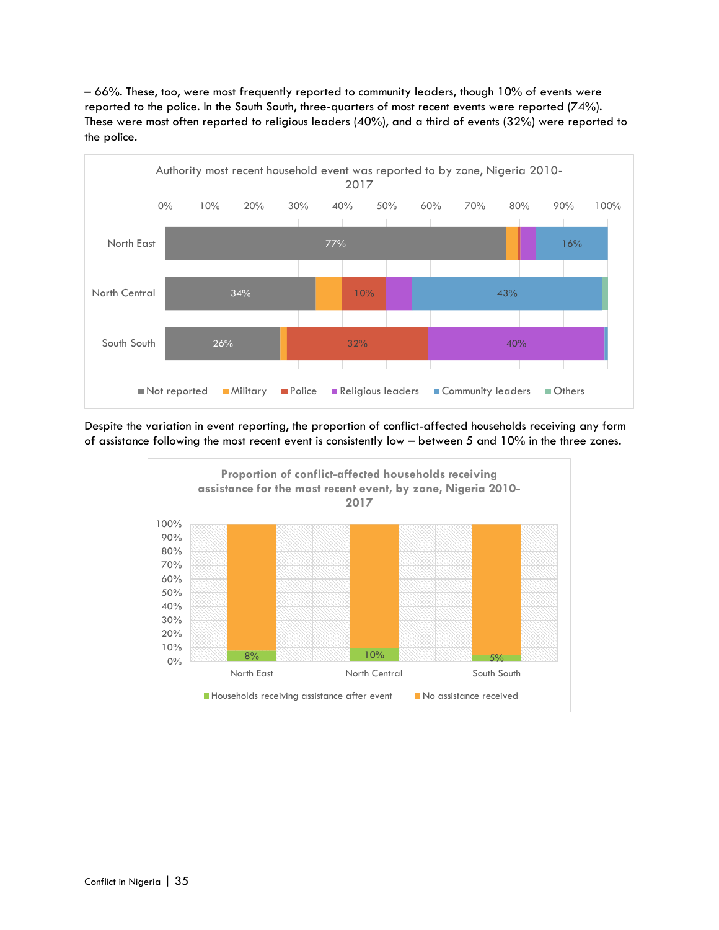– 66%. These, too, were most frequently reported to community leaders, though 10% of events were reported to the police. In the South South, three-quarters of most recent events were reported (74%). These were most often reported to religious leaders (40%), and a third of events (32%) were reported to the police.



Despite the variation in event reporting, the proportion of conflict-affected households receiving any form of assistance following the most recent event is consistently low – between 5 and 10% in the three zones.

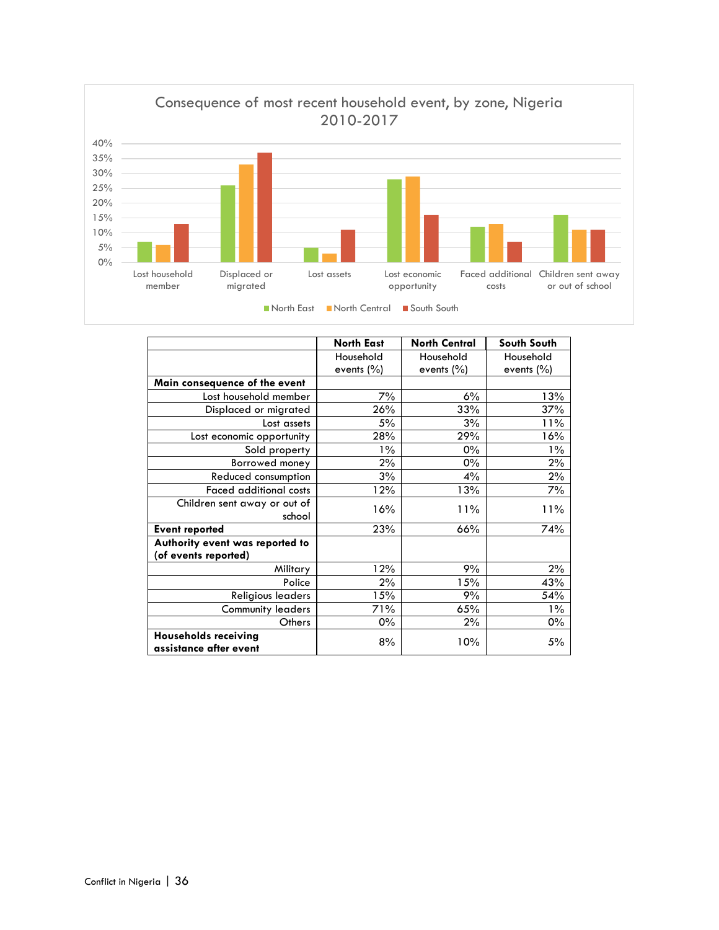

|                                                       | <b>North East</b> | <b>North Central</b> | South South |
|-------------------------------------------------------|-------------------|----------------------|-------------|
|                                                       | Household         | Household            | Household   |
|                                                       | events $(\% )$    | events $(\% )$       | events (%)  |
| Main consequence of the event                         |                   |                      |             |
| Lost household member                                 | 7%                | 6%                   | 13%         |
| Displaced or migrated                                 | 26%               | 33%                  | 37%         |
| Lost assets                                           | 5%                | 3%                   | 11%         |
| Lost economic opportunity                             | 28%               | 29%                  | 16%         |
| Sold property                                         | $1\%$             | $0\%$                | $1\%$       |
| Borrowed money                                        | 2%                | $0\%$                | 2%          |
| Reduced consumption                                   | 3%                | 4%                   | 2%          |
| <b>Faced additional costs</b>                         | 12%               | 13%                  | 7%          |
| Children sent away or out of                          | 16%               | 11%                  | 11%         |
| school                                                |                   |                      |             |
| <b>Event reported</b>                                 | 23%               | 66%                  | 74%         |
| Authority event was reported to                       |                   |                      |             |
| (of events reported)                                  |                   |                      |             |
| Military                                              | 12%               | 9%                   | 2%          |
| Police                                                | 2%                | 15%                  | 43%         |
| <b>Religious leaders</b>                              | 15%               | 9%                   | 54%         |
| <b>Community leaders</b>                              | 71%               | 65%                  | $1\%$       |
| Others                                                | $0\%$             | 2%                   | $0\%$       |
| <b>Households receiving</b><br>assistance after event | 8%                | 10%                  | 5%          |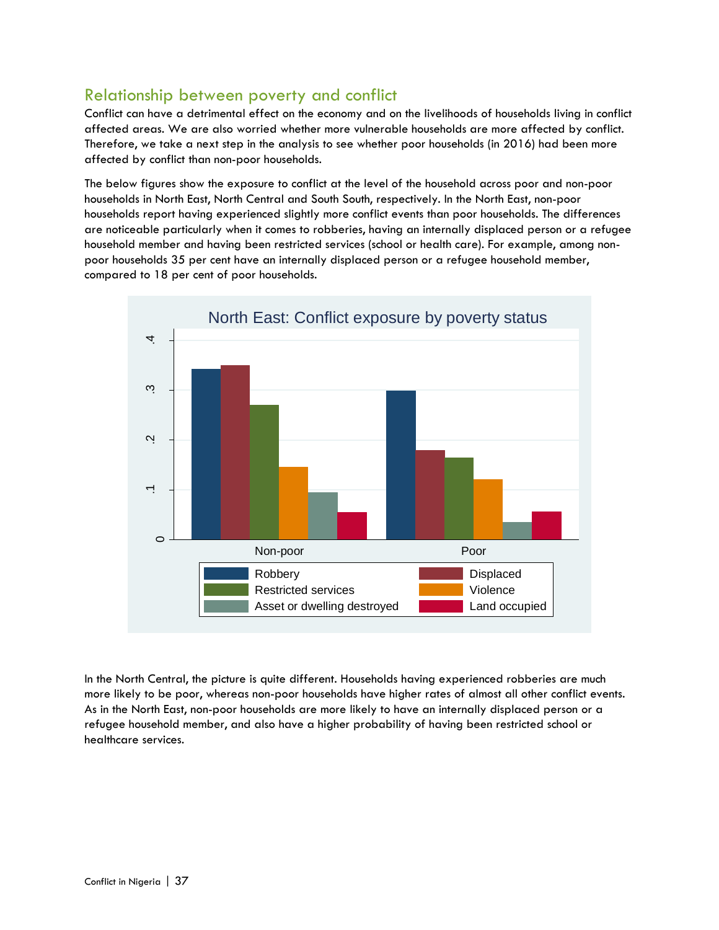# <span id="page-36-0"></span>Relationship between poverty and conflict

Conflict can have a detrimental effect on the economy and on the livelihoods of households living in conflict affected areas. We are also worried whether more vulnerable households are more affected by conflict. Therefore, we take a next step in the analysis to see whether poor households (in 2016) had been more affected by conflict than non-poor households.

The below figures show the exposure to conflict at the level of the household across poor and non-poor households in North East, North Central and South South, respectively. In the North East, non-poor households report having experienced slightly more conflict events than poor households. The differences are noticeable particularly when it comes to robberies, having an internally displaced person or a refugee household member and having been restricted services (school or health care). For example, among nonpoor households 35 per cent have an internally displaced person or a refugee household member, compared to 18 per cent of poor households.



In the North Central, the picture is quite different. Households having experienced robberies are much more likely to be poor, whereas non-poor households have higher rates of almost all other conflict events. As in the North East, non-poor households are more likely to have an internally displaced person or a refugee household member, and also have a higher probability of having been restricted school or healthcare services.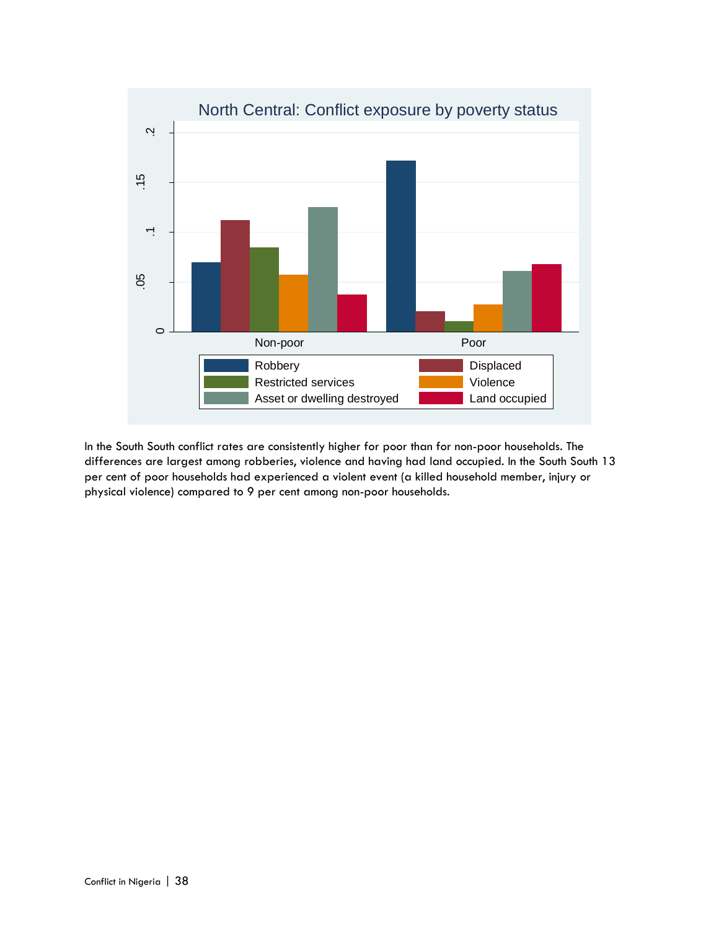

In the South South conflict rates are consistently higher for poor than for non-poor households. The differences are largest among robberies, violence and having had land occupied. In the South South 13 per cent of poor households had experienced a violent event (a killed household member, injury or physical violence) compared to 9 per cent among non-poor households.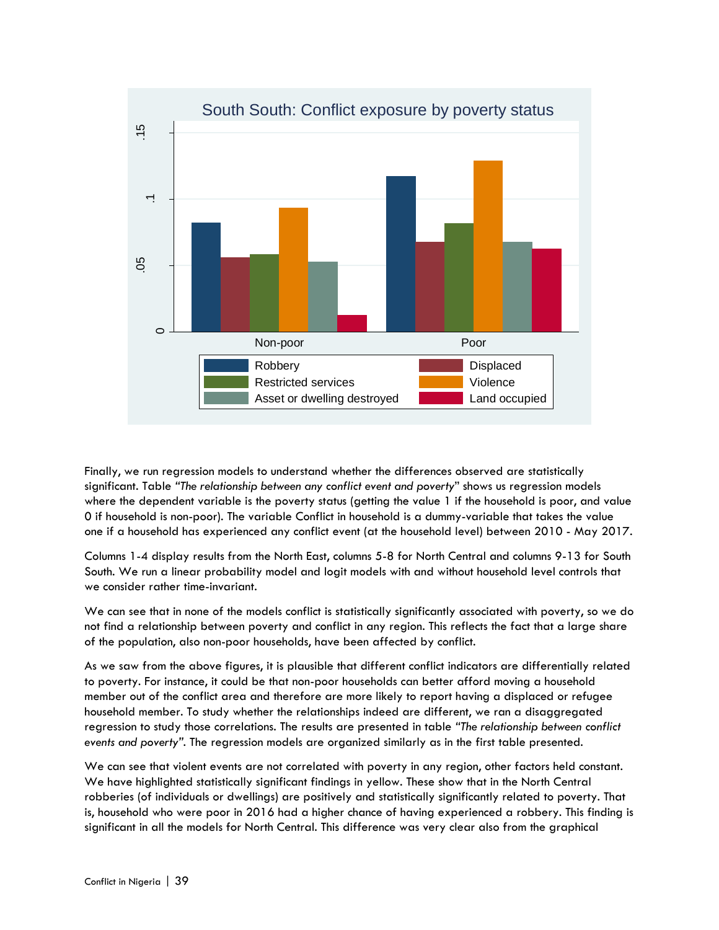

Finally, we run regression models to understand whether the differences observed are statistically significant. Table *"The relationship between any conflict event and poverty*" shows us regression models where the dependent variable is the poverty status (getting the value 1 if the household is poor, and value 0 if household is non-poor). The variable Conflict in household is a dummy-variable that takes the value one if a household has experienced any conflict event (at the household level) between 2010 - May 2017.

Columns 1-4 display results from the North East, columns 5-8 for North Central and columns 9-13 for South South. We run a linear probability model and logit models with and without household level controls that we consider rather time-invariant.

We can see that in none of the models conflict is statistically significantly associated with poverty, so we do not find a relationship between poverty and conflict in any region. This reflects the fact that a large share of the population, also non-poor households, have been affected by conflict.

As we saw from the above figures, it is plausible that different conflict indicators are differentially related to poverty. For instance, it could be that non-poor households can better afford moving a household member out of the conflict area and therefore are more likely to report having a displaced or refugee household member. To study whether the relationships indeed are different, we ran a disaggregated regression to study those correlations. The results are presented in table *"The relationship between conflict events and poverty".* The regression models are organized similarly as in the first table presented.

We can see that violent events are not correlated with poverty in any region, other factors held constant. We have highlighted statistically significant findings in yellow. These show that in the North Central robberies (of individuals or dwellings) are positively and statistically significantly related to poverty. That is, household who were poor in 2016 had a higher chance of having experienced a robbery. This finding is significant in all the models for North Central. This difference was very clear also from the graphical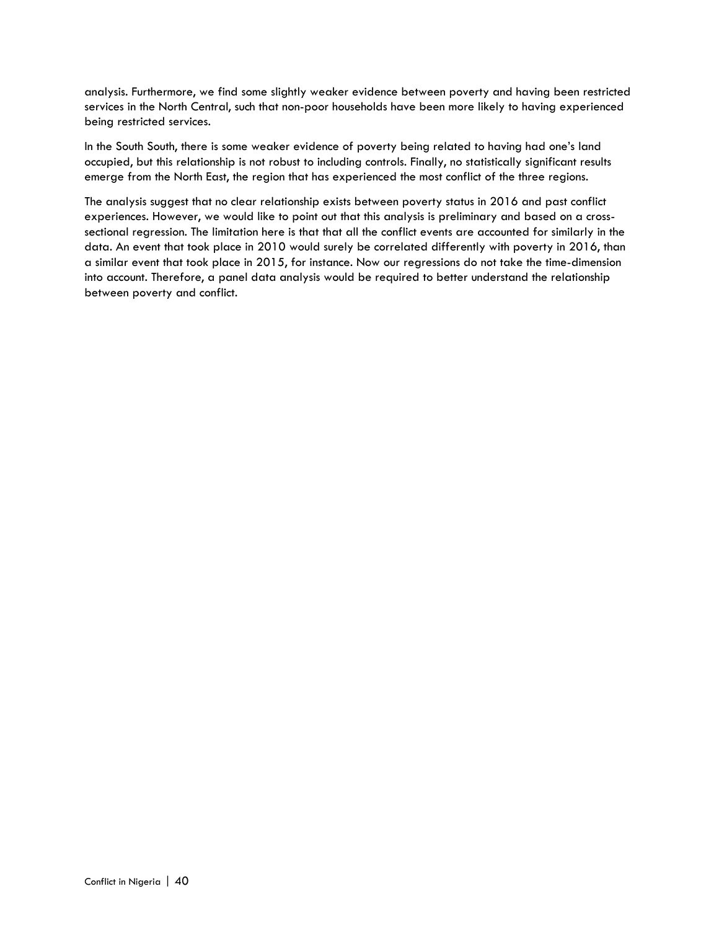analysis. Furthermore, we find some slightly weaker evidence between poverty and having been restricted services in the North Central, such that non-poor households have been more likely to having experienced being restricted services.

In the South South, there is some weaker evidence of poverty being related to having had one's land occupied, but this relationship is not robust to including controls. Finally, no statistically significant results emerge from the North East, the region that has experienced the most conflict of the three regions.

The analysis suggest that no clear relationship exists between poverty status in 2016 and past conflict experiences. However, we would like to point out that this analysis is preliminary and based on a crosssectional regression. The limitation here is that that all the conflict events are accounted for similarly in the data. An event that took place in 2010 would surely be correlated differently with poverty in 2016, than a similar event that took place in 2015, for instance. Now our regressions do not take the time-dimension into account. Therefore, a panel data analysis would be required to better understand the relationship between poverty and conflict.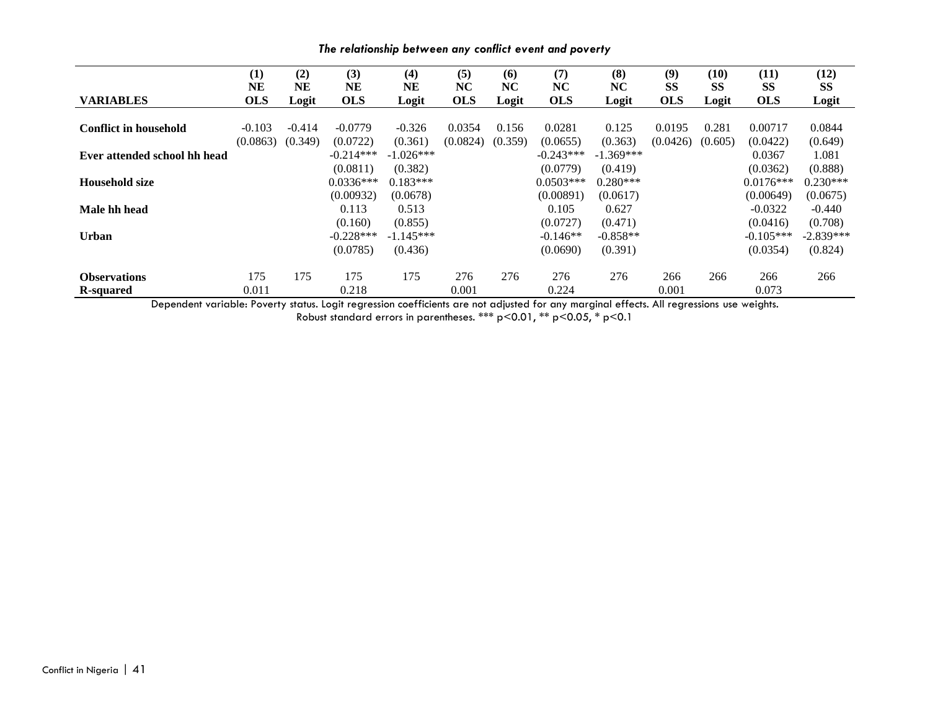|                              | (1)        | (2)       | (3)         | (4)         | (5)        | (6)     | (7)         | (8)         | (9)        | (10)      | (11)        | (12)        |
|------------------------------|------------|-----------|-------------|-------------|------------|---------|-------------|-------------|------------|-----------|-------------|-------------|
|                              | <b>NE</b>  | <b>NE</b> | NE          | NE          | NC         | NC      | NC          | NC          | <b>SS</b>  | <b>SS</b> | SS          | <b>SS</b>   |
| <b>VARIABLES</b>             | <b>OLS</b> | Logit     | <b>OLS</b>  | Logit       | <b>OLS</b> | Logit   | <b>OLS</b>  | Logit       | <b>OLS</b> | Logit     | <b>OLS</b>  | Logit       |
|                              |            |           |             |             |            |         |             |             |            |           |             |             |
| <b>Conflict in household</b> | $-0.103$   | $-0.414$  | $-0.0779$   | $-0.326$    | 0.0354     | 0.156   | 0.0281      | 0.125       | 0.0195     | 0.281     | 0.00717     | 0.0844      |
|                              | (0.0863)   | (0.349)   | (0.0722)    | (0.361)     | (0.0824)   | (0.359) | (0.0655)    | (0.363)     | (0.0426)   | (0.605)   | (0.0422)    | (0.649)     |
| Ever attended school hh head |            |           | $-0.214***$ | $-1.026***$ |            |         | $-0.243***$ | $-1.369***$ |            |           | 0.0367      | 1.081       |
|                              |            |           | (0.0811)    | (0.382)     |            |         | (0.0779)    | (0.419)     |            |           | (0.0362)    | (0.888)     |
| Household size               |            |           | $0.0336***$ | $0.183***$  |            |         | $0.0503***$ | $0.280***$  |            |           | $0.0176***$ | $0.230***$  |
|                              |            |           | (0.00932)   | (0.0678)    |            |         | (0.00891)   | (0.0617)    |            |           | (0.00649)   | (0.0675)    |
| Male hh head                 |            |           | 0.113       | 0.513       |            |         | 0.105       | 0.627       |            |           | $-0.0322$   | $-0.440$    |
|                              |            |           | (0.160)     | (0.855)     |            |         | (0.0727)    | (0.471)     |            |           | (0.0416)    | (0.708)     |
| <b>Urban</b>                 |            |           | $-0.228***$ | $-1.145***$ |            |         | $-0.146**$  | $-0.858**$  |            |           | $-0.105***$ | $-2.839***$ |
|                              |            |           | (0.0785)    | (0.436)     |            |         | (0.0690)    | (0.391)     |            |           | (0.0354)    | (0.824)     |
| <b>Observations</b>          | 175        | 175       | 175         | 175         | 276        | 276     | 276         | 276         | 266        | 266       | 266         | 266         |
| <b>R</b> -squared            | 0.011      |           | 0.218       |             | 0.001      |         | 0.224       |             | 0.001      |           | 0.073       |             |

## *The relationship between any conflict event and poverty*

Dependent variable: Poverty status. Logit regression coefficients are not adjusted for any marginal effects. All regressions use weights. Robust standard errors in parentheses.  $***$  p<0.01,  $**$  p<0.05,  $*$  p<0.1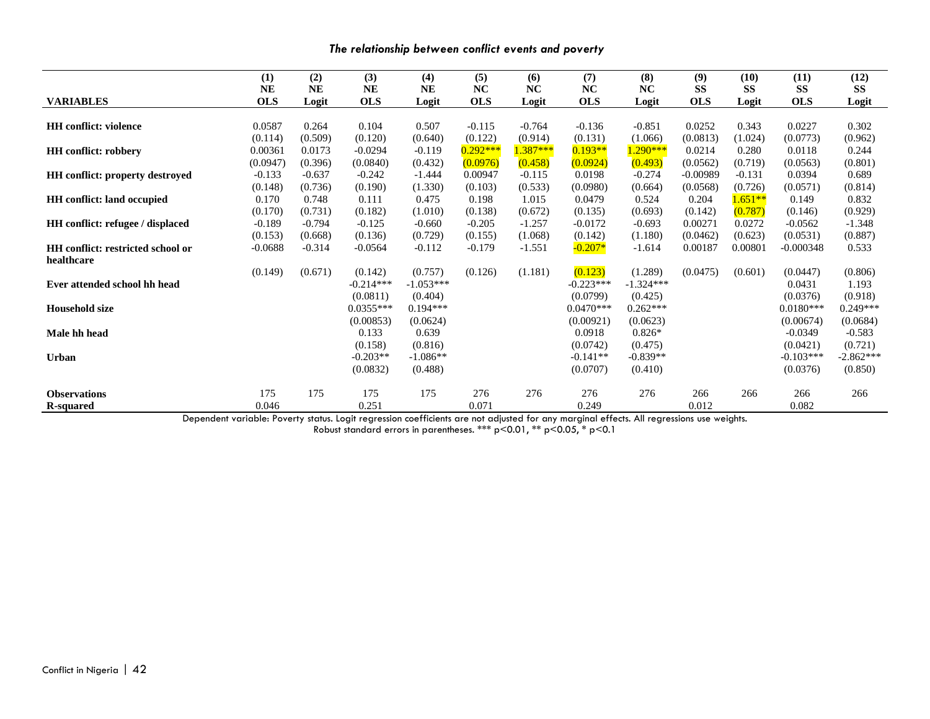#### *The relationship between conflict events and poverty*

|                                          | (1)        | (2)       | (3)         | (4)         | (5)        | (6)        | (7)         | (8)         | (9)        | (10)      | (11)        | (12)        |
|------------------------------------------|------------|-----------|-------------|-------------|------------|------------|-------------|-------------|------------|-----------|-------------|-------------|
|                                          | <b>NE</b>  | <b>NE</b> | <b>NE</b>   | <b>NE</b>   | NC         | <b>NC</b>  | <b>NC</b>   | <b>NC</b>   | <b>SS</b>  | <b>SS</b> | <b>SS</b>   | <b>SS</b>   |
| <b>VARIABLES</b>                         | <b>OLS</b> | Logit     | <b>OLS</b>  | Logit       | <b>OLS</b> | Logit      | <b>OLS</b>  | Logit       | <b>OLS</b> | Logit     | <b>OLS</b>  | Logit       |
| <b>HH</b> conflict: violence             | 0.0587     | 0.264     | 0.104       | 0.507       | $-0.115$   | $-0.764$   | $-0.136$    | $-0.851$    | 0.0252     | 0.343     | 0.0227      | 0.302       |
|                                          | (0.114)    | (0.509)   | (0.120)     | (0.640)     | (0.122)    | (0.914)    | (0.131)     | (1.066)     | (0.0813)   | (1.024)   | (0.0773)    | (0.962)     |
| <b>HH</b> conflict: robbery              | 0.00361    | 0.0173    | $-0.0294$   | $-0.119$    | $0.292***$ | $1.387***$ | $0.193**$   | $1.290***$  | 0.0214     | 0.280     | 0.0118      | 0.244       |
|                                          | (0.0947)   | (0.396)   | (0.0840)    | (0.432)     | (0.0976)   | (0.458)    | (0.0924)    | (0.493)     | (0.0562)   | (0.719)   | (0.0563)    | (0.801)     |
| HH conflict: property destroyed          | $-0.133$   | $-0.637$  | $-0.242$    | $-1.444$    | 0.00947    | $-0.115$   | 0.0198      | $-0.274$    | $-0.00989$ | $-0.131$  | 0.0394      | 0.689       |
|                                          | (0.148)    | (0.736)   | (0.190)     | (1.330)     | (0.103)    | (0.533)    | (0.0980)    | (0.664)     | (0.0568)   | (0.726)   | (0.0571)    | (0.814)     |
| <b>HH</b> conflict: land occupied        | 0.170      | 0.748     | 0.111       | 0.475       | 0.198      | 1.015      | 0.0479      | 0.524       | 0.204      | $1.651**$ | 0.149       | 0.832       |
|                                          | (0.170)    | (0.731)   | (0.182)     | (1.010)     | (0.138)    | (0.672)    | (0.135)     | (0.693)     | (0.142)    | (0.787)   | (0.146)     | (0.929)     |
| HH conflict: refugee / displaced         | $-0.189$   | $-0.794$  | $-0.125$    | $-0.660$    | $-0.205$   | $-1.257$   | $-0.0172$   | $-0.693$    | 0.00271    | 0.0272    | $-0.0562$   | $-1.348$    |
|                                          | (0.153)    | (0.668)   | (0.136)     | (0.729)     | (0.155)    | (1.068)    | (0.142)     | (1.180)     | (0.0462)   | (0.623)   | (0.0531)    | (0.887)     |
| <b>HH</b> conflict: restricted school or | $-0.0688$  | $-0.314$  | $-0.0564$   | $-0.112$    | $-0.179$   | $-1.551$   | $-0.207*$   | $-1.614$    | 0.00187    | 0.00801   | $-0.000348$ | 0.533       |
| healthcare                               |            |           |             |             |            |            |             |             |            |           |             |             |
|                                          | (0.149)    | (0.671)   | (0.142)     | (0.757)     | (0.126)    | (1.181)    | (0.123)     | (1.289)     | (0.0475)   | (0.601)   | (0.0447)    | (0.806)     |
| Ever attended school hh head             |            |           | $-0.214***$ | $-1.053***$ |            |            | $-0.223***$ | $-1.324***$ |            |           | 0.0431      | 1.193       |
|                                          |            |           | (0.0811)    | (0.404)     |            |            | (0.0799)    | (0.425)     |            |           | (0.0376)    | (0.918)     |
| <b>Household size</b>                    |            |           | $0.0355***$ | $0.194***$  |            |            | $0.0470***$ | $0.262***$  |            |           | $0.0180***$ | $0.249***$  |
|                                          |            |           | (0.00853)   | (0.0624)    |            |            | (0.00921)   | (0.0623)    |            |           | (0.00674)   | (0.0684)    |
| Male hh head                             |            |           | 0.133       | 0.639       |            |            | 0.0918      | $0.826*$    |            |           | $-0.0349$   | $-0.583$    |
|                                          |            |           | (0.158)     | (0.816)     |            |            | (0.0742)    | (0.475)     |            |           | (0.0421)    | (0.721)     |
| Urban                                    |            |           | $-0.203**$  | $-1.086**$  |            |            | $-0.141**$  | $-0.839**$  |            |           | $-0.103***$ | $-2.862***$ |
|                                          |            |           | (0.0832)    | (0.488)     |            |            | (0.0707)    | (0.410)     |            |           | (0.0376)    | (0.850)     |
| <b>Observations</b>                      | 175        | 175       | 175         | 175         | 276        | 276        | 276         | 276         | 266        | 266       | 266         | 266         |
| <b>R-squared</b>                         | 0.046      |           | 0.251       |             | 0.071      |            | 0.249       |             | 0.012      |           | 0.082       |             |

Dependent variable: Poverty status. Logit regression coefficients are not adjusted for any marginal effects. All regressions use weights. Robust standard errors in parentheses. \*\*\* p<0.01, \*\* p<0.05, \* p<0.1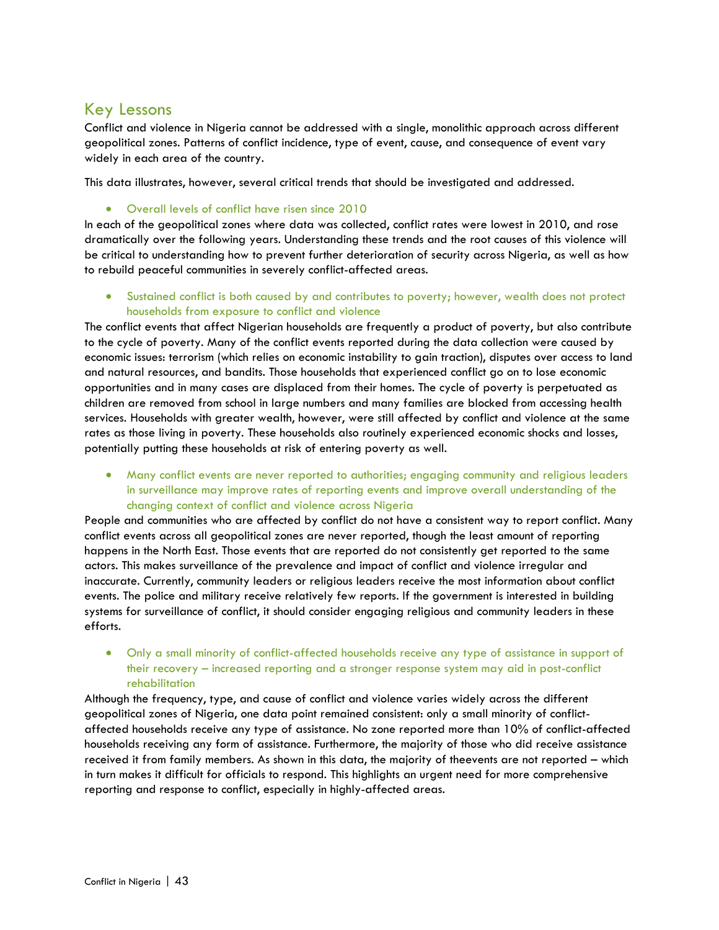# <span id="page-42-0"></span>Key Lessons

Conflict and violence in Nigeria cannot be addressed with a single, monolithic approach across different geopolitical zones. Patterns of conflict incidence, type of event, cause, and consequence of event vary widely in each area of the country.

This data illustrates, however, several critical trends that should be investigated and addressed.

Overall levels of conflict have risen since 2010

In each of the geopolitical zones where data was collected, conflict rates were lowest in 2010, and rose dramatically over the following years. Understanding these trends and the root causes of this violence will be critical to understanding how to prevent further deterioration of security across Nigeria, as well as how to rebuild peaceful communities in severely conflict-affected areas.

 Sustained conflict is both caused by and contributes to poverty; however, wealth does not protect households from exposure to conflict and violence

The conflict events that affect Nigerian households are frequently a product of poverty, but also contribute to the cycle of poverty. Many of the conflict events reported during the data collection were caused by economic issues: terrorism (which relies on economic instability to gain traction), disputes over access to land and natural resources, and bandits. Those households that experienced conflict go on to lose economic opportunities and in many cases are displaced from their homes. The cycle of poverty is perpetuated as children are removed from school in large numbers and many families are blocked from accessing health services. Households with greater wealth, however, were still affected by conflict and violence at the same rates as those living in poverty. These households also routinely experienced economic shocks and losses, potentially putting these households at risk of entering poverty as well.

 Many conflict events are never reported to authorities; engaging community and religious leaders in surveillance may improve rates of reporting events and improve overall understanding of the changing context of conflict and violence across Nigeria

People and communities who are affected by conflict do not have a consistent way to report conflict. Many conflict events across all geopolitical zones are never reported, though the least amount of reporting happens in the North East. Those events that are reported do not consistently get reported to the same actors. This makes surveillance of the prevalence and impact of conflict and violence irregular and inaccurate. Currently, community leaders or religious leaders receive the most information about conflict events. The police and military receive relatively few reports. If the government is interested in building systems for surveillance of conflict, it should consider engaging religious and community leaders in these efforts.

 Only a small minority of conflict-affected households receive any type of assistance in support of their recovery – increased reporting and a stronger response system may aid in post-conflict rehabilitation

Although the frequency, type, and cause of conflict and violence varies widely across the different geopolitical zones of Nigeria, one data point remained consistent: only a small minority of conflictaffected households receive any type of assistance. No zone reported more than 10% of conflict-affected households receiving any form of assistance. Furthermore, the majority of those who did receive assistance received it from family members. As shown in this data, the majority of theevents are not reported – which in turn makes it difficult for officials to respond. This highlights an urgent need for more comprehensive reporting and response to conflict, especially in highly-affected areas.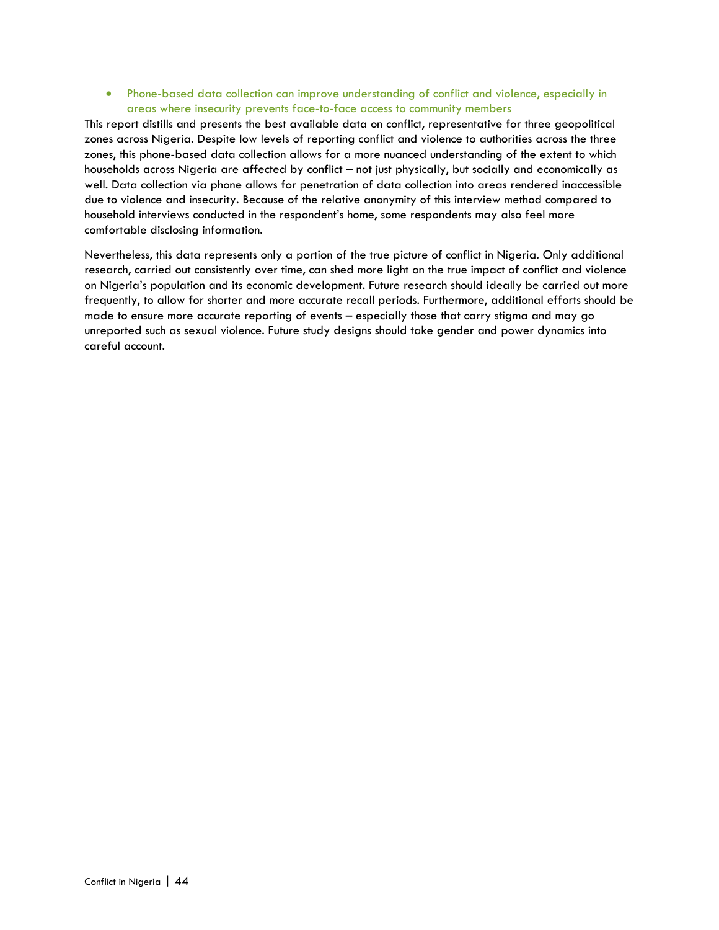Phone-based data collection can improve understanding of conflict and violence, especially in areas where insecurity prevents face-to-face access to community members

This report distills and presents the best available data on conflict, representative for three geopolitical zones across Nigeria. Despite low levels of reporting conflict and violence to authorities across the three zones, this phone-based data collection allows for a more nuanced understanding of the extent to which households across Nigeria are affected by conflict – not just physically, but socially and economically as well. Data collection via phone allows for penetration of data collection into areas rendered inaccessible due to violence and insecurity. Because of the relative anonymity of this interview method compared to household interviews conducted in the respondent's home, some respondents may also feel more comfortable disclosing information.

Nevertheless, this data represents only a portion of the true picture of conflict in Nigeria. Only additional research, carried out consistently over time, can shed more light on the true impact of conflict and violence on Nigeria's population and its economic development. Future research should ideally be carried out more frequently, to allow for shorter and more accurate recall periods. Furthermore, additional efforts should be made to ensure more accurate reporting of events – especially those that carry stigma and may go unreported such as sexual violence. Future study designs should take gender and power dynamics into careful account.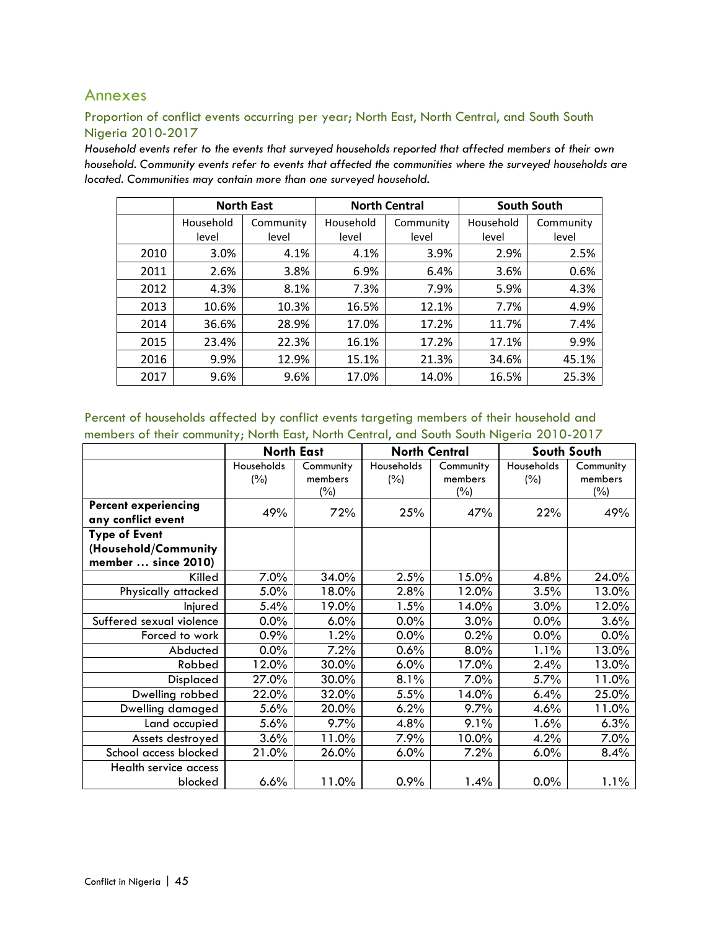# <span id="page-44-0"></span>Annexes

#### Proportion of conflict events occurring per year; North East, North Central, and South South Nigeria 2010-2017

*Household events refer to the events that surveyed households reported that affected members of their own household. Community events refer to events that affected the communities where the surveyed households are located. Communities may contain more than one surveyed household.*

|      |           | <b>North East</b> |           | <b>North Central</b><br><b>South South</b> |           |           |
|------|-----------|-------------------|-----------|--------------------------------------------|-----------|-----------|
|      | Household | Community         | Household | Community                                  | Household | Community |
|      | level     | level             | level     | level                                      | level     | level     |
| 2010 | 3.0%      | 4.1%              | 4.1%      | 3.9%                                       | 2.9%      | 2.5%      |
| 2011 | 2.6%      | 3.8%              | 6.9%      | 6.4%                                       | 3.6%      | 0.6%      |
| 2012 | 4.3%      | 8.1%              | 7.3%      | 7.9%                                       | 5.9%      | 4.3%      |
| 2013 | 10.6%     | 10.3%             | 16.5%     | 12.1%                                      | 7.7%      | 4.9%      |
| 2014 | 36.6%     | 28.9%             | 17.0%     | 17.2%                                      | 11.7%     | 7.4%      |
| 2015 | 23.4%     | 22.3%             | 16.1%     | 17.2%                                      | 17.1%     | 9.9%      |
| 2016 | 9.9%      | 12.9%             | 15.1%     | 21.3%                                      | 34.6%     | 45.1%     |
| 2017 | 9.6%      | 9.6%              | 17.0%     | 14.0%                                      | 16.5%     | 25.3%     |

#### Percent of households affected by conflict events targeting members of their household and members of their community; North East, North Central, and South South Nigeria 2010-2017

|                             | <b>North East</b> |           | <b>North Central</b> |           | South South |           |  |
|-----------------------------|-------------------|-----------|----------------------|-----------|-------------|-----------|--|
|                             | Households        | Community | Households           | Community | Households  | Community |  |
|                             | $(\% )$           | members   | (%)                  | members   | $(\%)$      | members   |  |
|                             |                   | $(\% )$   |                      | $(\% )$   |             | $(\% )$   |  |
| <b>Percent experiencing</b> | 49%               | 72%       | 25%                  | 47%       | 22%         | 49%       |  |
| any conflict event          |                   |           |                      |           |             |           |  |
| <b>Type of Event</b>        |                   |           |                      |           |             |           |  |
| (Household/Community        |                   |           |                      |           |             |           |  |
| member  since 2010)         |                   |           |                      |           |             |           |  |
| Killed                      | 7.0%              | 34.0%     | 2.5%                 | 15.0%     | 4.8%        | 24.0%     |  |
| Physically attacked         | 5.0%              | 18.0%     | 2.8%                 | 12.0%     | 3.5%        | 13.0%     |  |
| Injured                     | 5.4%              | 19.0%     | 1.5%                 | 14.0%     | 3.0%        | 12.0%     |  |
| Suffered sexual violence    | 0.0%              | 6.0%      | 0.0%                 | 3.0%      | 0.0%        | 3.6%      |  |
| Forced to work              | 0.9%              | 1.2%      | 0.0%                 | 0.2%      | 0.0%        | 0.0%      |  |
| Abducted                    | 0.0%              | 7.2%      | 0.6%                 | 8.0%      | 1.1%        | 13.0%     |  |
| Robbed                      | 12.0%             | 30.0%     | 6.0%                 | 17.0%     | 2.4%        | 13.0%     |  |
| Displaced                   | 27.0%             | 30.0%     | 8.1%                 | 7.0%      | 5.7%        | 11.0%     |  |
| Dwelling robbed             | 22.0%             | 32.0%     | 5.5%                 | 14.0%     | 6.4%        | 25.0%     |  |
| Dwelling damaged            | 5.6%              | 20.0%     | 6.2%                 | 9.7%      | 4.6%        | 11.0%     |  |
| Land occupied               | 5.6%              | 9.7%      | 4.8%                 | 9.1%      | 1.6%        | 6.3%      |  |
| Assets destroyed            | 3.6%              | 11.0%     | 7.9%                 | 10.0%     | 4.2%        | 7.0%      |  |
| School access blocked       | 21.0%             | 26.0%     | 6.0%                 | 7.2%      | 6.0%        | 8.4%      |  |
| Health service access       |                   |           |                      |           |             |           |  |
| blocked                     | 6.6%              | 11.0%     | 0.9%                 | 1.4%      | 0.0%        | 1.1%      |  |